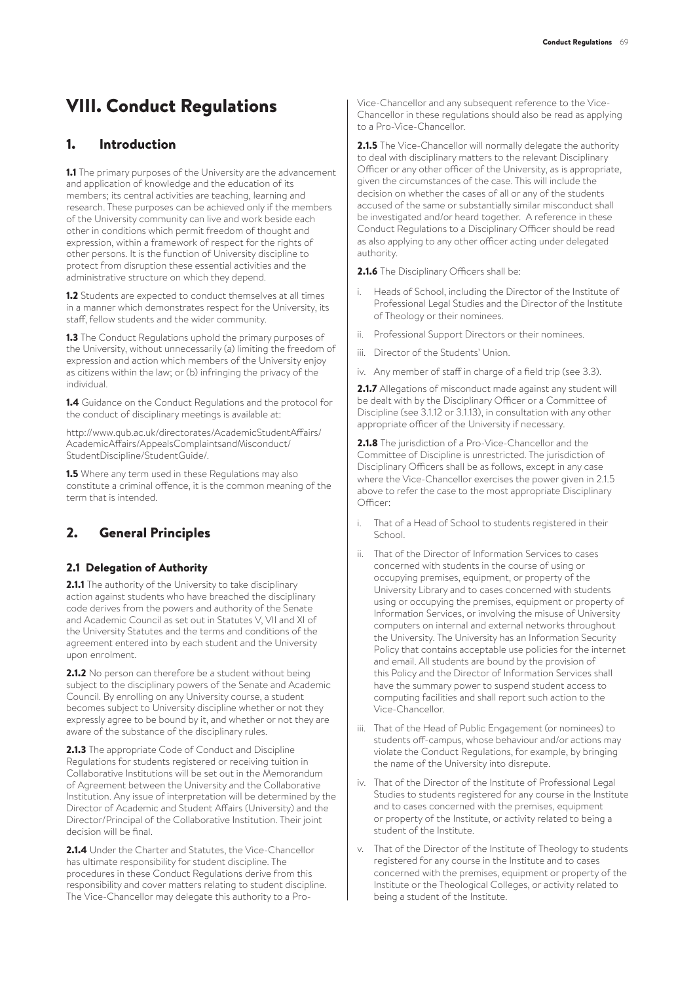# VIII. Conduct Regulations

## 1. Introduction

1.1 The primary purposes of the University are the advancement and application of knowledge and the education of its members; its central activities are teaching, learning and research. These purposes can be achieved only if the members of the University community can live and work beside each other in conditions which permit freedom of thought and expression, within a framework of respect for the rights of other persons. It is the function of University discipline to protect from disruption these essential activities and the administrative structure on which they depend.

1.2 Students are expected to conduct themselves at all times in a manner which demonstrates respect for the University, its staff, fellow students and the wider community.

1.3 The Conduct Regulations uphold the primary purposes of the University, without unnecessarily (a) limiting the freedom of expression and action which members of the University enjoy as citizens within the law; or (b) infringing the privacy of the individual.

1.4 Guidance on the Conduct Regulations and the protocol for the conduct of disciplinary meetings is available at:

http://www.qub.ac.uk/directorates/AcademicStudentAffairs/ AcademicAffairs/AppealsComplaintsandMisconduct/ StudentDiscipline/StudentGuide/.

1.5 Where any term used in these Regulations may also constitute a criminal offence, it is the common meaning of the term that is intended.

# 2. General Principles

#### 2.1 Delegation of Authority

2.1.1 The authority of the University to take disciplinary action against students who have breached the disciplinary code derives from the powers and authority of the Senate and Academic Council as set out in Statutes V, VII and XI of the University Statutes and the terms and conditions of the agreement entered into by each student and the University upon enrolment.

2.1.2 No person can therefore be a student without being subject to the disciplinary powers of the Senate and Academic Council. By enrolling on any University course, a student becomes subject to University discipline whether or not they expressly agree to be bound by it, and whether or not they are aware of the substance of the disciplinary rules.

2.1.3 The appropriate Code of Conduct and Discipline Regulations for students registered or receiving tuition in Collaborative Institutions will be set out in the Memorandum of Agreement between the University and the Collaborative Institution. Any issue of interpretation will be determined by the Director of Academic and Student Affairs (University) and the Director/Principal of the Collaborative Institution. Their joint decision will be final.

2.1.4 Under the Charter and Statutes, the Vice-Chancellor has ultimate responsibility for student discipline. The procedures in these Conduct Regulations derive from this responsibility and cover matters relating to student discipline. The Vice-Chancellor may delegate this authority to a Pro-

Vice-Chancellor and any subsequent reference to the Vice-Chancellor in these regulations should also be read as applying to a Pro-Vice-Chancellor.

2.1.5 The Vice-Chancellor will normally delegate the authority to deal with disciplinary matters to the relevant Disciplinary Officer or any other officer of the University, as is appropriate, given the circumstances of the case. This will include the decision on whether the cases of all or any of the students accused of the same or substantially similar misconduct shall be investigated and/or heard together. A reference in these Conduct Regulations to a Disciplinary Officer should be read as also applying to any other officer acting under delegated authority.

2.1.6 The Disciplinary Officers shall be:

- i. Heads of School, including the Director of the Institute of Professional Legal Studies and the Director of the Institute of Theology or their nominees.
- ii. Professional Support Directors or their nominees.
- iii. Director of the Students' Union.
- iv. Any member of staff in charge of a field trip (see 3.3).

2.1.7 Allegations of misconduct made against any student will be dealt with by the Disciplinary Officer or a Committee of Discipline (see 3.1.12 or 3.1.13), in consultation with any other appropriate officer of the University if necessary.

2.1.8 The jurisdiction of a Pro-Vice-Chancellor and the Committee of Discipline is unrestricted. The jurisdiction of Disciplinary Officers shall be as follows, except in any case where the Vice-Chancellor exercises the power given in 2.1.5 above to refer the case to the most appropriate Disciplinary Officer:

- That of a Head of School to students registered in their School
- ii. That of the Director of Information Services to cases concerned with students in the course of using or occupying premises, equipment, or property of the University Library and to cases concerned with students using or occupying the premises, equipment or property of Information Services, or involving the misuse of University computers on internal and external networks throughout the University. The University has an Information Security Policy that contains acceptable use policies for the internet and email. All students are bound by the provision of this Policy and the Director of Information Services shall have the summary power to suspend student access to computing facilities and shall report such action to the Vice-Chancellor.
- iii. That of the Head of Public Engagement (or nominees) to students off-campus, whose behaviour and/or actions may violate the Conduct Regulations, for example, by bringing the name of the University into disrepute.
- iv. That of the Director of the Institute of Professional Legal Studies to students registered for any course in the Institute and to cases concerned with the premises, equipment or property of the Institute, or activity related to being a student of the Institute.
- v. That of the Director of the Institute of Theology to students registered for any course in the Institute and to cases concerned with the premises, equipment or property of the Institute or the Theological Colleges, or activity related to being a student of the Institute.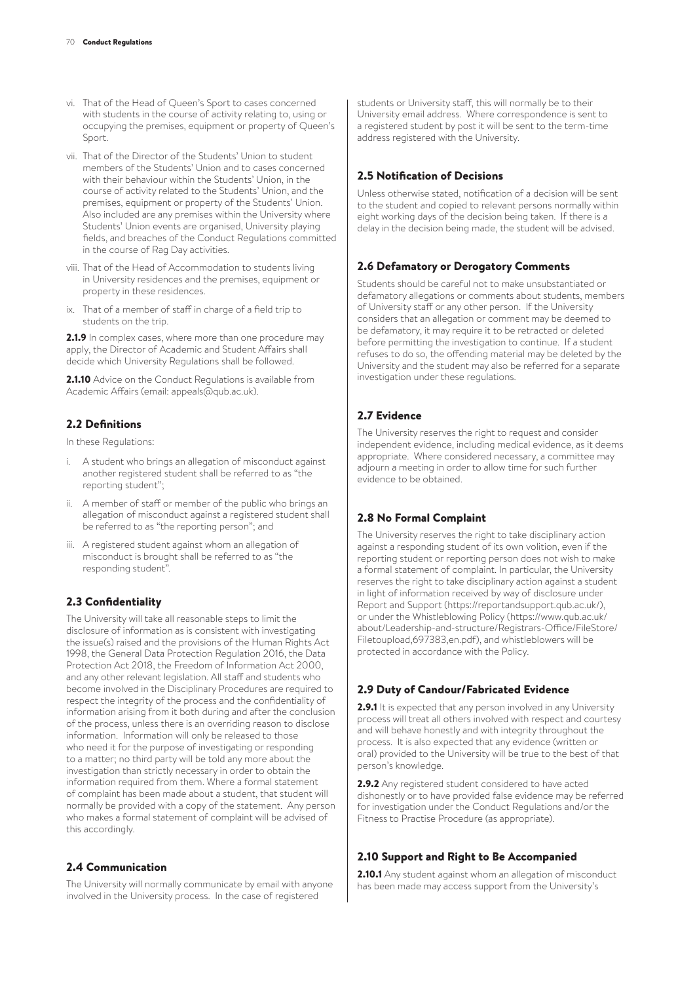- vi. That of the Head of Queen's Sport to cases concerned with students in the course of activity relating to, using or occupying the premises, equipment or property of Queen's Sport
- vii. That of the Director of the Students' Union to student members of the Students' Union and to cases concerned with their behaviour within the Students' Union, in the course of activity related to the Students' Union, and the premises, equipment or property of the Students' Union. Also included are any premises within the University where Students' Union events are organised, University playing fields, and breaches of the Conduct Regulations committed in the course of Rag Day activities.
- viii. That of the Head of Accommodation to students living in University residences and the premises, equipment or property in these residences.
- ix. That of a member of staff in charge of a field trip to students on the trip.

2.1.9 In complex cases, where more than one procedure may apply, the Director of Academic and Student Affairs shall decide which University Regulations shall be followed.

2.1.10 Advice on the Conduct Regulations is available from Academic Affairs (email: appeals@qub.ac.uk).

#### 2.2 Definitions

In these Regulations:

- i. A student who brings an allegation of misconduct against another registered student shall be referred to as "the reporting student";
- ii. A member of staff or member of the public who brings an allegation of misconduct against a registered student shall be referred to as "the reporting person"; and
- iii. A registered student against whom an allegation of misconduct is brought shall be referred to as "the responding student".

#### 2.3 Confidentiality

The University will take all reasonable steps to limit the disclosure of information as is consistent with investigating the issue(s) raised and the provisions of the Human Rights Act 1998, the General Data Protection Regulation 2016, the Data Protection Act 2018, the Freedom of Information Act 2000, and any other relevant legislation. All staff and students who become involved in the Disciplinary Procedures are required to respect the integrity of the process and the confidentiality of information arising from it both during and after the conclusion of the process, unless there is an overriding reason to disclose information. Information will only be released to those who need it for the purpose of investigating or responding to a matter; no third party will be told any more about the investigation than strictly necessary in order to obtain the information required from them. Where a formal statement of complaint has been made about a student, that student will normally be provided with a copy of the statement. Any person who makes a formal statement of complaint will be advised of this accordingly.

#### 2.4 Communication

The University will normally communicate by email with anyone involved in the University process. In the case of registered

students or University staff, this will normally be to their University email address. Where correspondence is sent to a registered student by post it will be sent to the term-time address registered with the University.

### 2.5 Notification of Decisions

Unless otherwise stated, notification of a decision will be sent to the student and copied to relevant persons normally within eight working days of the decision being taken. If there is a delay in the decision being made, the student will be advised.

### 2.6 Defamatory or Derogatory Comments

Students should be careful not to make unsubstantiated or defamatory allegations or comments about students, members of University staff or any other person. If the University considers that an allegation or comment may be deemed to be defamatory, it may require it to be retracted or deleted before permitting the investigation to continue. If a student refuses to do so, the offending material may be deleted by the University and the student may also be referred for a separate investigation under these regulations.

#### 2.7 Evidence

The University reserves the right to request and consider independent evidence, including medical evidence, as it deems appropriate. Where considered necessary, a committee may adjourn a meeting in order to allow time for such further evidence to be obtained.

#### 2.8 No Formal Complaint

The University reserves the right to take disciplinary action against a responding student of its own volition, even if the reporting student or reporting person does not wish to make a formal statement of complaint. In particular, the University reserves the right to take disciplinary action against a student in light of information received by way of disclosure under Report and Support (https://reportandsupport.qub.ac.uk/), or under the Whistleblowing Policy (https://www.qub.ac.uk/ about/Leadership-and-structure/Registrars-Office/FileStore/ Filetoupload,697383,en.pdf), and whistleblowers will be protected in accordance with the Policy.

#### 2.9 Duty of Candour/Fabricated Evidence

2.9.1 It is expected that any person involved in any University process will treat all others involved with respect and courtesy and will behave honestly and with integrity throughout the process. It is also expected that any evidence (written or oral) provided to the University will be true to the best of that person's knowledge.

2.9.2 Any registered student considered to have acted dishonestly or to have provided false evidence may be referred for investigation under the Conduct Regulations and/or the Fitness to Practise Procedure (as appropriate).

## 2.10 Support and Right to Be Accompanied

2.10.1 Any student against whom an allegation of misconduct has been made may access support from the University's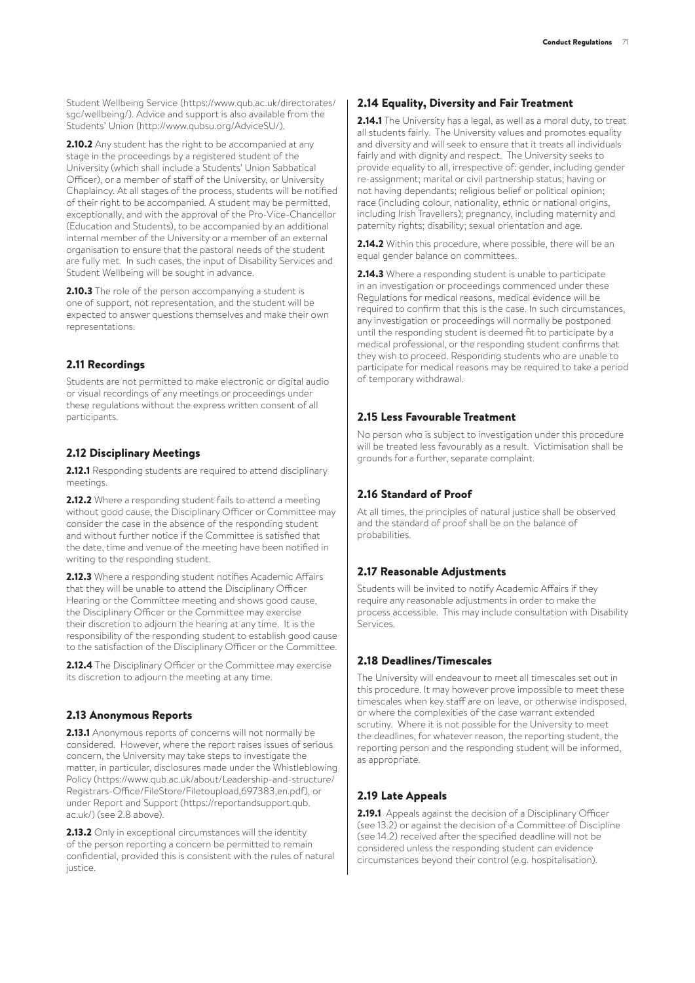2.10.2 Any student has the right to be accompanied at any stage in the proceedings by a registered student of the University (which shall include a Students' Union Sabbatical Officer), or a member of staff of the University, or University Chaplaincy. At all stages of the process, students will be notified of their right to be accompanied. A student may be permitted, exceptionally, and with the approval of the Pro-Vice-Chancellor (Education and Students), to be accompanied by an additional internal member of the University or a member of an external organisation to ensure that the pastoral needs of the student are fully met. In such cases, the input of Disability Services and Student Wellbeing will be sought in advance.

2.10.3 The role of the person accompanying a student is one of support, not representation, and the student will be expected to answer questions themselves and make their own representations.

## 2.11 Recordings

Students are not permitted to make electronic or digital audio or visual recordings of any meetings or proceedings under these regulations without the express written consent of all participants.

## 2.12 Disciplinary Meetings

2.12.1 Responding students are required to attend disciplinary meetings.

2.12.2 Where a responding student fails to attend a meeting without good cause, the Disciplinary Officer or Committee may consider the case in the absence of the responding student and without further notice if the Committee is satisfied that the date, time and venue of the meeting have been notified in writing to the responding student.

2.12.3 Where a responding student notifies Academic Affairs that they will be unable to attend the Disciplinary Officer Hearing or the Committee meeting and shows good cause, the Disciplinary Officer or the Committee may exercise their discretion to adjourn the hearing at any time. It is the responsibility of the responding student to establish good cause to the satisfaction of the Disciplinary Officer or the Committee.

2.12.4 The Disciplinary Officer or the Committee may exercise its discretion to adjourn the meeting at any time.

## 2.13 Anonymous Reports

2.13.1 Anonymous reports of concerns will not normally be considered. However, where the report raises issues of serious concern, the University may take steps to investigate the matter, in particular, disclosures made under the Whistleblowing Policy (https://www.qub.ac.uk/about/Leadership-and-structure/ Registrars-Office/FileStore/Filetoupload,697383,en.pdf), or under Report and Support (https://reportandsupport.qub. ac.uk/) (see 2.8 above).

2.13.2 Only in exceptional circumstances will the identity of the person reporting a concern be permitted to remain confidential, provided this is consistent with the rules of natural justice.

#### 2.14 Equality, Diversity and Fair Treatment

2.14.1 The University has a legal, as well as a moral duty, to treat all students fairly. The University values and promotes equality and diversity and will seek to ensure that it treats all individuals fairly and with dignity and respect. The University seeks to provide equality to all, irrespective of: gender, including gender re-assignment; marital or civil partnership status; having or not having dependants; religious belief or political opinion; race (including colour, nationality, ethnic or national origins, including Irish Travellers); pregnancy, including maternity and paternity rights; disability; sexual orientation and age.

2.14.2 Within this procedure, where possible, there will be an equal gender balance on committees.

2.14.3 Where a responding student is unable to participate in an investigation or proceedings commenced under these Regulations for medical reasons, medical evidence will be required to confirm that this is the case. In such circumstances, any investigation or proceedings will normally be postponed until the responding student is deemed fit to participate by a medical professional, or the responding student confirms that they wish to proceed. Responding students who are unable to participate for medical reasons may be required to take a period of temporary withdrawal.

## 2.15 Less Favourable Treatment

No person who is subject to investigation under this procedure will be treated less favourably as a result. Victimisation shall be grounds for a further, separate complaint.

## 2.16 Standard of Proof

At all times, the principles of natural justice shall be observed and the standard of proof shall be on the balance of probabilities.

## 2.17 Reasonable Adjustments

Students will be invited to notify Academic Affairs if they require any reasonable adjustments in order to make the process accessible. This may include consultation with Disability Services.

## 2.18 Deadlines/Timescales

The University will endeavour to meet all timescales set out in this procedure. It may however prove impossible to meet these timescales when key staff are on leave, or otherwise indisposed, or where the complexities of the case warrant extended scrutiny. Where it is not possible for the University to meet the deadlines, for whatever reason, the reporting student, the reporting person and the responding student will be informed, as appropriate.

## 2.19 Late Appeals

2.19.1 Appeals against the decision of a Disciplinary Officer (see 13.2) or against the decision of a Committee of Discipline (see 14.2) received after the specified deadline will not be considered unless the responding student can evidence circumstances beyond their control (e.g. hospitalisation).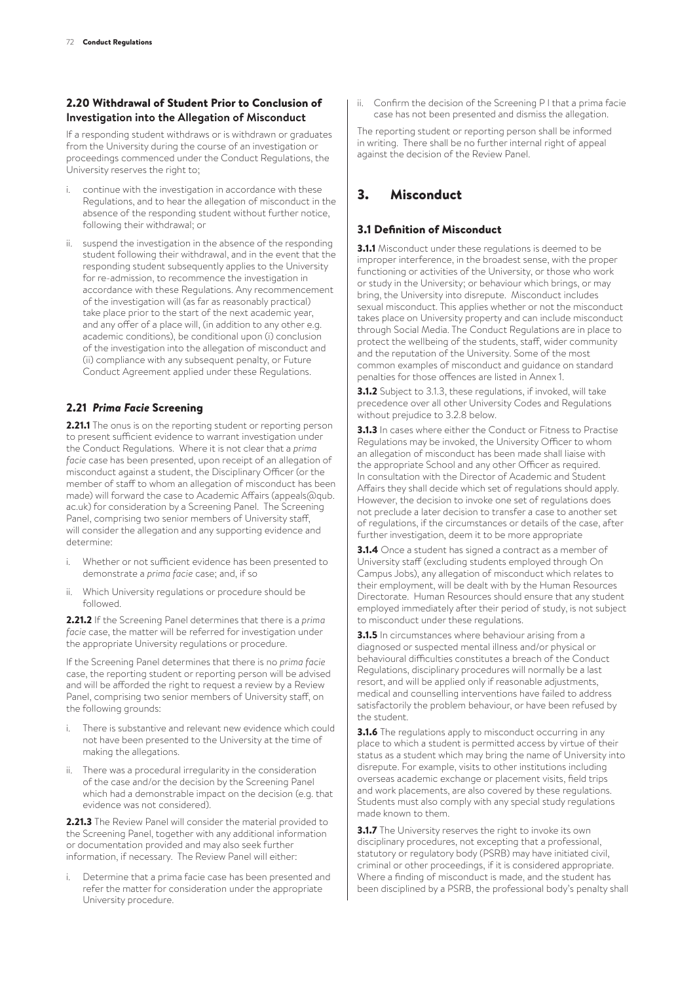#### 2.20 Withdrawal of Student Prior to Conclusion of **Investigation into the Allegation of Misconduct**

If a responding student withdraws or is withdrawn or graduates from the University during the course of an investigation or proceedings commenced under the Conduct Regulations, the University reserves the right to;

- continue with the investigation in accordance with these Regulations, and to hear the allegation of misconduct in the absence of the responding student without further notice, following their withdrawal; or
- ii. suspend the investigation in the absence of the responding student following their withdrawal, and in the event that the responding student subsequently applies to the University for re-admission, to recommence the investigation in accordance with these Regulations. Any recommencement of the investigation will (as far as reasonably practical) take place prior to the start of the next academic year, and any offer of a place will, (in addition to any other e.g. academic conditions), be conditional upon (i) conclusion of the investigation into the allegation of misconduct and (ii) compliance with any subsequent penalty, or Future Conduct Agreement applied under these Regulations.

### 2.21 *Prima Facie* Screening

2.21.1 The onus is on the reporting student or reporting person to present sufficient evidence to warrant investigation under the Conduct Regulations. Where it is not clear that a *prima facie* case has been presented, upon receipt of an allegation of misconduct against a student, the Disciplinary Officer (or the member of staff to whom an allegation of misconduct has been made) will forward the case to Academic Affairs (appeals@qub. ac.uk) for consideration by a Screening Panel. The Screening Panel, comprising two senior members of University staff, will consider the allegation and any supporting evidence and determine:

- i. Whether or not sufficient evidence has been presented to demonstrate a *prima facie* case; and, if so
- ii. Which University regulations or procedure should be followed.

2.21.2 If the Screening Panel determines that there is a *prima facie* case, the matter will be referred for investigation under the appropriate University regulations or procedure.

If the Screening Panel determines that there is no *prima facie*  case, the reporting student or reporting person will be advised and will be afforded the right to request a review by a Review Panel, comprising two senior members of University staff, on the following grounds:

- i. There is substantive and relevant new evidence which could not have been presented to the University at the time of making the allegations.
- ii. There was a procedural irregularity in the consideration of the case and/or the decision by the Screening Panel which had a demonstrable impact on the decision (e.g. that evidence was not considered).

2.21.3 The Review Panel will consider the material provided to the Screening Panel, together with any additional information or documentation provided and may also seek further information, if necessary. The Review Panel will either:

Determine that a prima facie case has been presented and refer the matter for consideration under the appropriate University procedure.

ii. Confirm the decision of the Screening P l that a prima facie case has not been presented and dismiss the allegation.

The reporting student or reporting person shall be informed in writing. There shall be no further internal right of appeal against the decision of the Review Panel.

# 3. Misconduct

### 3.1 Definition of Misconduct

3.1.1 Misconduct under these regulations is deemed to be improper interference, in the broadest sense, with the proper functioning or activities of the University, or those who work or study in the University; or behaviour which brings, or may bring, the University into disrepute. Misconduct includes sexual misconduct. This applies whether or not the misconduct takes place on University property and can include misconduct through Social Media. The Conduct Regulations are in place to protect the wellbeing of the students, staff, wider community and the reputation of the University. Some of the most common examples of misconduct and guidance on standard penalties for those offences are listed in Annex 1.

3.1.2 Subject to 3.1.3, these regulations, if invoked, will take precedence over all other University Codes and Regulations without prejudice to 3.2.8 below.

3.1.3 In cases where either the Conduct or Fitness to Practise Regulations may be invoked, the University Officer to whom an allegation of misconduct has been made shall liaise with the appropriate School and any other Officer as required. In consultation with the Director of Academic and Student Affairs they shall decide which set of regulations should apply. However, the decision to invoke one set of regulations does not preclude a later decision to transfer a case to another set of regulations, if the circumstances or details of the case, after further investigation, deem it to be more appropriate

3.1.4 Once a student has signed a contract as a member of University staff (excluding students employed through On Campus Jobs), any allegation of misconduct which relates to their employment, will be dealt with by the Human Resources Directorate. Human Resources should ensure that any student employed immediately after their period of study, is not subject to misconduct under these regulations.

**3.1.5** In circumstances where behaviour arising from a diagnosed or suspected mental illness and/or physical or behavioural difficulties constitutes a breach of the Conduct Regulations, disciplinary procedures will normally be a last resort, and will be applied only if reasonable adjustments, medical and counselling interventions have failed to address satisfactorily the problem behaviour, or have been refused by the student.

**3.1.6** The regulations apply to misconduct occurring in any place to which a student is permitted access by virtue of their status as a student which may bring the name of University into disrepute. For example, visits to other institutions including overseas academic exchange or placement visits, field trips and work placements, are also covered by these regulations. Students must also comply with any special study regulations made known to them.

**3.1.7** The University reserves the right to invoke its own disciplinary procedures, not excepting that a professional, statutory or regulatory body (PSRB) may have initiated civil, criminal or other proceedings, if it is considered appropriate. Where a finding of misconduct is made, and the student has been disciplined by a PSRB, the professional body's penalty shall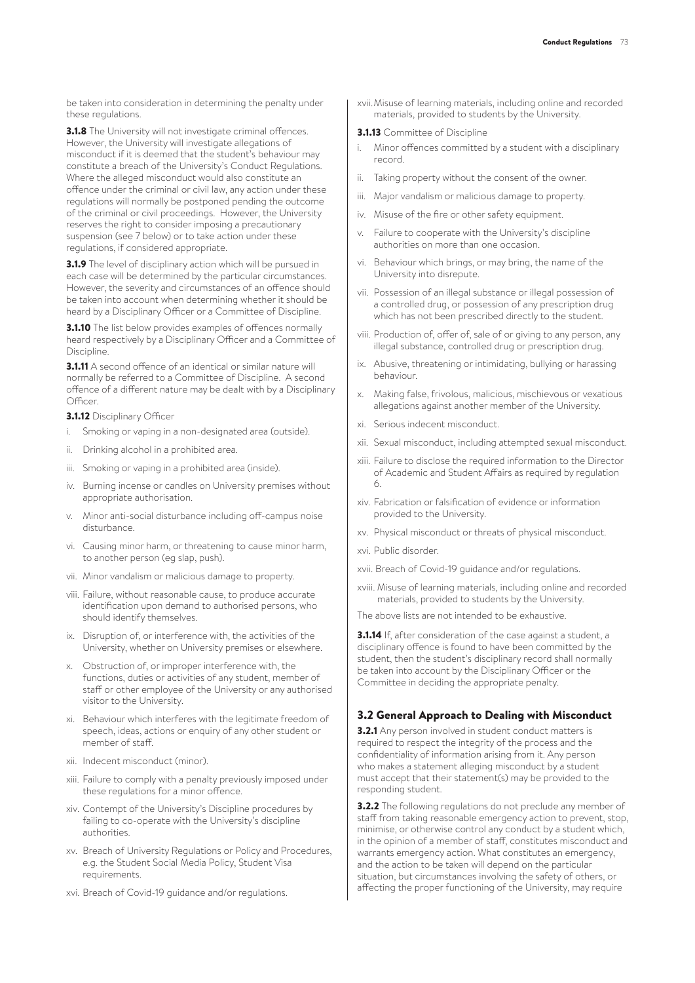be taken into consideration in determining the penalty under these regulations.

**3.1.8** The University will not investigate criminal offences. However, the University will investigate allegations of misconduct if it is deemed that the student's behaviour may constitute a breach of the University's Conduct Regulations. Where the alleged misconduct would also constitute an offence under the criminal or civil law, any action under these regulations will normally be postponed pending the outcome of the criminal or civil proceedings. However, the University reserves the right to consider imposing a precautionary suspension (see 7 below) or to take action under these regulations, if considered appropriate.

**3.1.9** The level of disciplinary action which will be pursued in each case will be determined by the particular circumstances. However, the severity and circumstances of an offence should be taken into account when determining whether it should be heard by a Disciplinary Officer or a Committee of Discipline.

**3.1.10** The list below provides examples of offences normally heard respectively by a Disciplinary Officer and a Committee of Discipline.

**3.1.11** A second offence of an identical or similar nature will normally be referred to a Committee of Discipline. A second offence of a different nature may be dealt with by a Disciplinary Officer.

**3.1.12 Disciplinary Officer** 

- Smoking or vaping in a non-designated area (outside).
- ii. Drinking alcohol in a prohibited area.
- iii. Smoking or vaping in a prohibited area (inside).
- iv. Burning incense or candles on University premises without appropriate authorisation.
- v. Minor anti-social disturbance including off-campus noise disturbance.
- vi. Causing minor harm, or threatening to cause minor harm, to another person (eg slap, push).
- vii. Minor vandalism or malicious damage to property.
- viii. Failure, without reasonable cause, to produce accurate identification upon demand to authorised persons, who should identify themselves.
- ix. Disruption of, or interference with, the activities of the University, whether on University premises or elsewhere.
- x. Obstruction of, or improper interference with, the functions, duties or activities of any student, member of staff or other employee of the University or any authorised visitor to the University.
- xi. Behaviour which interferes with the legitimate freedom of speech, ideas, actions or enquiry of any other student or member of staff.
- xii. Indecent misconduct (minor).
- xiii. Failure to comply with a penalty previously imposed under these regulations for a minor offence.
- xiv. Contempt of the University's Discipline procedures by failing to co-operate with the University's discipline authorities.
- xv. Breach of University Regulations or Policy and Procedures, e.g. the Student Social Media Policy, Student Visa requirements.
- xvi. Breach of Covid-19 guidance and/or regulations.

xvii.Misuse of learning materials, including online and recorded materials, provided to students by the University.

#### **3.1.13** Committee of Discipline

- Minor offences committed by a student with a disciplinary record.
- ii. Taking property without the consent of the owner.
- iii. Major vandalism or malicious damage to property.
- iv. Misuse of the fire or other safety equipment.
- v. Failure to cooperate with the University's discipline authorities on more than one occasion.
- vi. Behaviour which brings, or may bring, the name of the University into disrepute.
- vii. Possession of an illegal substance or illegal possession of a controlled drug, or possession of any prescription drug which has not been prescribed directly to the student.
- viii. Production of, offer of, sale of or giving to any person, any illegal substance, controlled drug or prescription drug.
- ix. Abusive, threatening or intimidating, bullying or harassing behaviour.
- x. Making false, frivolous, malicious, mischievous or vexatious allegations against another member of the University.
- xi. Serious indecent misconduct.
- xii. Sexual misconduct, including attempted sexual misconduct.
- xiii. Failure to disclose the required information to the Director of Academic and Student Affairs as required by regulation 6.
- xiv. Fabrication or falsification of evidence or information provided to the University.
- xv. Physical misconduct or threats of physical misconduct.
- xvi. Public disorder.
- xvii. Breach of Covid-19 guidance and/or regulations.
- xviii. Misuse of learning materials, including online and recorded materials, provided to students by the University.

The above lists are not intended to be exhaustive.

3.1.14 If, after consideration of the case against a student, a disciplinary offence is found to have been committed by the student, then the student's disciplinary record shall normally be taken into account by the Disciplinary Officer or the Committee in deciding the appropriate penalty.

#### 3.2 General Approach to Dealing with Misconduct

**3.2.1** Any person involved in student conduct matters is required to respect the integrity of the process and the confidentiality of information arising from it. Any person who makes a statement alleging misconduct by a student must accept that their statement(s) may be provided to the responding student.

**3.2.2** The following regulations do not preclude any member of staff from taking reasonable emergency action to prevent, stop, minimise, or otherwise control any conduct by a student which, in the opinion of a member of staff, constitutes misconduct and warrants emergency action. What constitutes an emergency, and the action to be taken will depend on the particular situation, but circumstances involving the safety of others, or affecting the proper functioning of the University, may require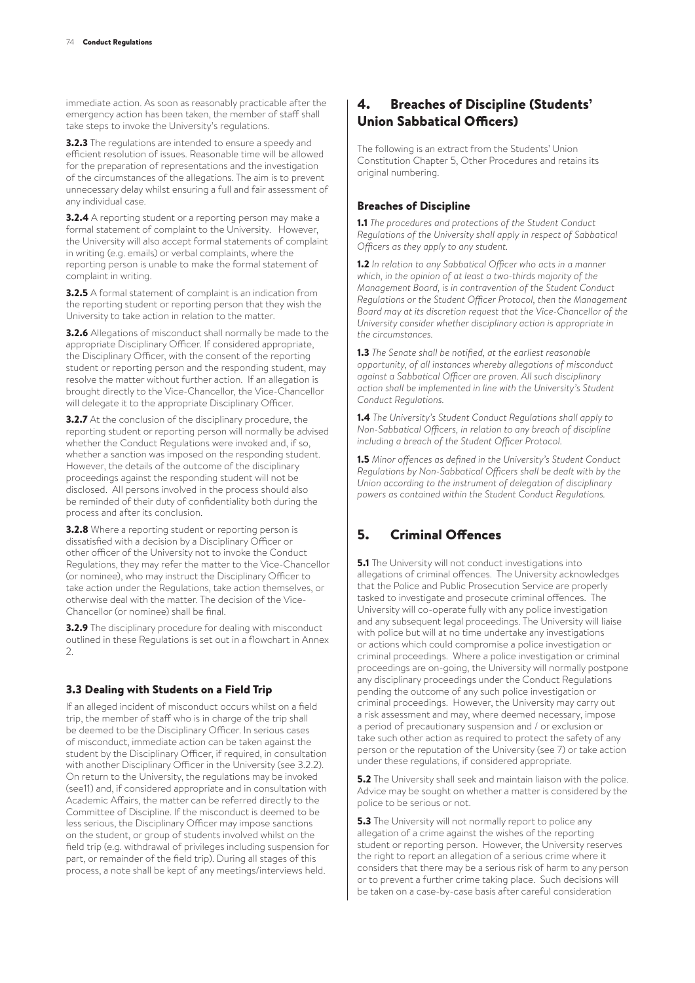immediate action. As soon as reasonably practicable after the emergency action has been taken, the member of staff shall take steps to invoke the University's regulations.

**3.2.3** The regulations are intended to ensure a speedy and efficient resolution of issues. Reasonable time will be allowed for the preparation of representations and the investigation of the circumstances of the allegations. The aim is to prevent unnecessary delay whilst ensuring a full and fair assessment of any individual case.

**3.2.4** A reporting student or a reporting person may make a formal statement of complaint to the University. However, the University will also accept formal statements of complaint in writing (e.g. emails) or verbal complaints, where the reporting person is unable to make the formal statement of complaint in writing.

3.2.5 A formal statement of complaint is an indication from the reporting student or reporting person that they wish the University to take action in relation to the matter.

**3.2.6** Allegations of misconduct shall normally be made to the appropriate Disciplinary Officer. If considered appropriate, the Disciplinary Officer, with the consent of the reporting student or reporting person and the responding student, may resolve the matter without further action. If an allegation is brought directly to the Vice-Chancellor, the Vice-Chancellor will delegate it to the appropriate Disciplinary Officer.

**3.2.7** At the conclusion of the disciplinary procedure, the reporting student or reporting person will normally be advised whether the Conduct Regulations were invoked and, if so, whether a sanction was imposed on the responding student. However, the details of the outcome of the disciplinary proceedings against the responding student will not be disclosed. All persons involved in the process should also be reminded of their duty of confidentiality both during the process and after its conclusion.

**3.2.8** Where a reporting student or reporting person is dissatisfied with a decision by a Disciplinary Officer or other officer of the University not to invoke the Conduct Regulations, they may refer the matter to the Vice-Chancellor (or nominee), who may instruct the Disciplinary Officer to take action under the Regulations, take action themselves, or otherwise deal with the matter. The decision of the Vice-Chancellor (or nominee) shall be final.

**3.2.9** The disciplinary procedure for dealing with misconduct outlined in these Regulations is set out in a flowchart in Annex 2.

#### 3.3 Dealing with Students on a Field Trip

If an alleged incident of misconduct occurs whilst on a field trip, the member of staff who is in charge of the trip shall be deemed to be the Disciplinary Officer. In serious cases of misconduct, immediate action can be taken against the student by the Disciplinary Officer, if required, in consultation with another Disciplinary Officer in the University (see 3.2.2). On return to the University, the regulations may be invoked (see11) and, if considered appropriate and in consultation with Academic Affairs, the matter can be referred directly to the Committee of Discipline. If the misconduct is deemed to be less serious, the Disciplinary Officer may impose sanctions on the student, or group of students involved whilst on the field trip (e.g. withdrawal of privileges including suspension for part, or remainder of the field trip). During all stages of this process, a note shall be kept of any meetings/interviews held.

## 4. Breaches of Discipline (Students' Union Sabbatical Officers)

The following is an extract from the Students' Union Constitution Chapter 5, Other Procedures and retains its original numbering.

#### Breaches of Discipline

1.1 *The procedures and protections of the Student Conduct Regulations of the University shall apply in respect of Sabbatical Officers as they apply to any student.*

1.2 *In relation to any Sabbatical Officer who acts in a manner which, in the opinion of at least a two-thirds majority of the Management Board, is in contravention of the Student Conduct Regulations or the Student Officer Protocol, then the Management Board may at its discretion request that the Vice-Chancellor of the University consider whether disciplinary action is appropriate in the circumstances.*

1.3 *The Senate shall be notified, at the earliest reasonable opportunity, of all instances whereby allegations of misconduct against a Sabbatical Officer are proven. All such disciplinary action shall be implemented in line with the University's Student Conduct Regulations.*

1.4 *The University's Student Conduct Regulations shall apply to Non-Sabbatical Officers, in relation to any breach of discipline including a breach of the Student Officer Protocol.*

1.5 *Minor offences as defined in the University's Student Conduct Regulations by Non-Sabbatical Officers shall be dealt with by the Union according to the instrument of delegation of disciplinary powers as contained within the Student Conduct Regulations.*

# 5. Criminal Offences

**5.1** The University will not conduct investigations into allegations of criminal offences. The University acknowledges that the Police and Public Prosecution Service are properly tasked to investigate and prosecute criminal offences. The University will co-operate fully with any police investigation and any subsequent legal proceedings. The University will liaise with police but will at no time undertake any investigations or actions which could compromise a police investigation or criminal proceedings. Where a police investigation or criminal proceedings are on-going, the University will normally postpone any disciplinary proceedings under the Conduct Regulations pending the outcome of any such police investigation or criminal proceedings. However, the University may carry out a risk assessment and may, where deemed necessary, impose a period of precautionary suspension and / or exclusion or take such other action as required to protect the safety of any person or the reputation of the University (see 7) or take action under these regulations, if considered appropriate.

**5.2** The University shall seek and maintain liaison with the police. Advice may be sought on whether a matter is considered by the police to be serious or not.

**5.3** The University will not normally report to police any allegation of a crime against the wishes of the reporting student or reporting person. However, the University reserves the right to report an allegation of a serious crime where it considers that there may be a serious risk of harm to any person or to prevent a further crime taking place. Such decisions will be taken on a case-by-case basis after careful consideration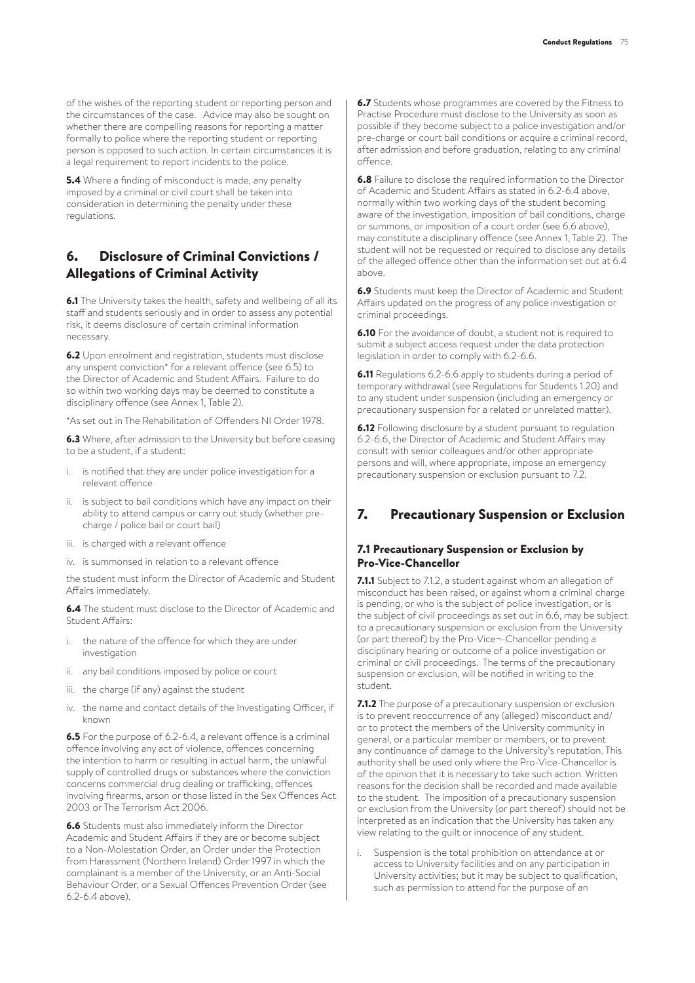of the wishes of the reporting student or reporting person and the circumstances of the case. Advice may also be sought on whether there are compelling reasons for reporting a matter formally to police where the reporting student or reporting person is opposed to such action. In certain circumstances it is a legal requirement to report incidents to the police.

**5.4** Where a finding of misconduct is made, any penalty imposed by a criminal or civil court shall be taken into consideration in determining the penalty under these regulations.

## 6. Disclosure of Criminal Convictions / Allegations of Criminal Activity

6.1 The University takes the health, safety and wellbeing of all its staff and students seriously and in order to assess any potential risk, it deems disclosure of certain criminal information necessary.

6.2 Upon enrolment and registration, students must disclose any unspent conviction\* for a relevant offence (see 6.5) to the Director of Academic and Student Affairs. Failure to do so within two working days may be deemed to constitute a disciplinary offence (see Annex 1, Table 2).

\*As set out in The Rehabilitation of Offenders NI Order 1978.

6.3 Where, after admission to the University but before ceasing to be a student, if a student:

- is notified that they are under police investigation for a relevant offence
- ii. is subject to bail conditions which have any impact on their ability to attend campus or carry out study (whether precharge / police bail or court bail)
- iii. is charged with a relevant offence
- iv. is summonsed in relation to a relevant offence

the student must inform the Director of Academic and Student Affairs immediately.

6.4 The student must disclose to the Director of Academic and Student Affairs:

- i. the nature of the offence for which they are under investigation
- ii. any bail conditions imposed by police or court
- iii. the charge (if any) against the student
- iv. the name and contact details of the Investigating Officer, if known

6.5 For the purpose of 6.2-6.4, a relevant offence is a criminal offence involving any act of violence, offences concerning the intention to harm or resulting in actual harm, the unlawful supply of controlled drugs or substances where the conviction concerns commercial drug dealing or trafficking, offences involving firearms, arson or those listed in the Sex Offences Act 2003 or The Terrorism Act 2006.

6.6 Students must also immediately inform the Director Academic and Student Affairs if they are or become subject to a Non-Molestation Order, an Order under the Protection from Harassment (Northern Ireland) Order 1997 in which the complainant is a member of the University, or an Anti-Social Behaviour Order, or a Sexual Offences Prevention Order (see 6.2-6.4 above).

6.7 Students whose programmes are covered by the Fitness to Practise Procedure must disclose to the University as soon as possible if they become subject to a police investigation and/or pre-charge or court bail conditions or acquire a criminal record, after admission and before graduation, relating to any criminal offence.

6.8 Failure to disclose the required information to the Director of Academic and Student Affairs as stated in 6.2-6.4 above, normally within two working days of the student becoming aware of the investigation, imposition of bail conditions, charge or summons, or imposition of a court order (see 6.6 above), may constitute a disciplinary offence (see Annex 1, Table 2). The student will not be requested or required to disclose any details of the alleged offence other than the information set out at 6.4 above.

6.9 Students must keep the Director of Academic and Student Affairs updated on the progress of any police investigation or criminal proceedings.

**6.10** For the avoidance of doubt, a student not is required to submit a subject access request under the data protection legislation in order to comply with 6.2-6.6.

6.11 Regulations 6.2-6.6 apply to students during a period of temporary withdrawal (see Regulations for Students 1.20) and to any student under suspension (including an emergency or precautionary suspension for a related or unrelated matter).

**6.12** Following disclosure by a student pursuant to regulation 6.2-6.6, the Director of Academic and Student Affairs may consult with senior colleagues and/or other appropriate persons and will, where appropriate, impose an emergency precautionary suspension or exclusion pursuant to 7.2.

## 7. Precautionary Suspension or Exclusion

#### 7.1 Precautionary Suspension or Exclusion by Pro-Vice-Chancellor

7.1.1 Subject to 7.1.2, a student against whom an allegation of misconduct has been raised, or against whom a criminal charge is pending, or who is the subject of police investigation, or is the subject of civil proceedings as set out in 6.6, may be subject to a precautionary suspension or exclusion from the University (or part thereof) by the Pro-Vice¬-Chancellor pending a disciplinary hearing or outcome of a police investigation or criminal or civil proceedings. The terms of the precautionary suspension or exclusion, will be notified in writing to the student.

7.1.2 The purpose of a precautionary suspension or exclusion is to prevent reoccurrence of any (alleged) misconduct and/ or to protect the members of the University community in general, or a particular member or members, or to prevent any continuance of damage to the University's reputation. This authority shall be used only where the Pro-Vice-Chancellor is of the opinion that it is necessary to take such action. Written reasons for the decision shall be recorded and made available to the student. The imposition of a precautionary suspension or exclusion from the University (or part thereof) should not be interpreted as an indication that the University has taken any view relating to the guilt or innocence of any student.

Suspension is the total prohibition on attendance at or access to University facilities and on any participation in University activities; but it may be subject to qualification, such as permission to attend for the purpose of an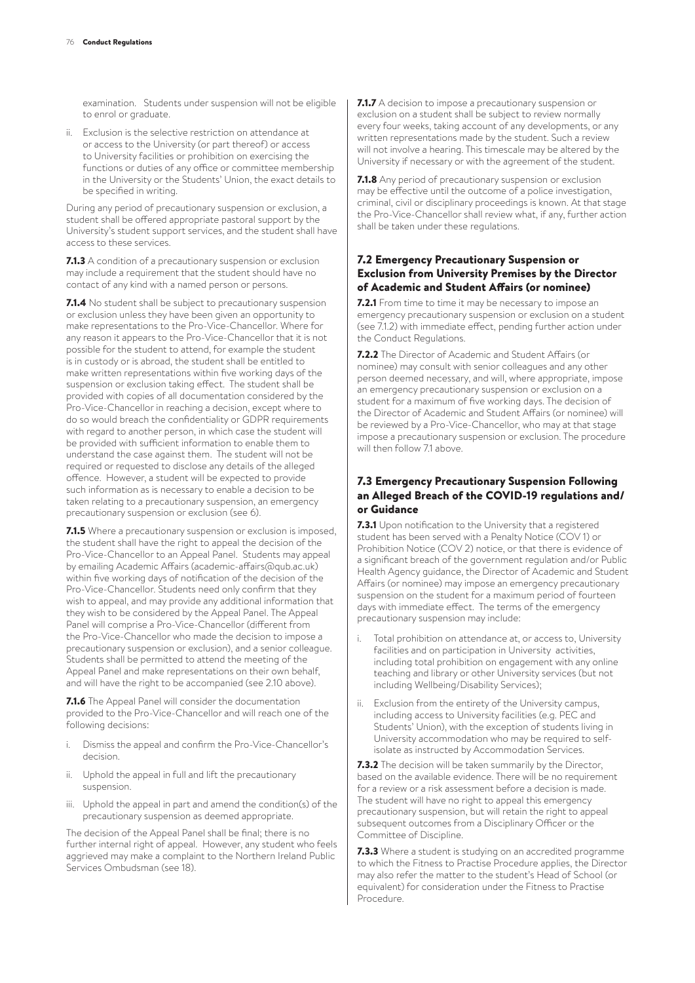examination. Students under suspension will not be eligible to enrol or graduate.

ii. Exclusion is the selective restriction on attendance at or access to the University (or part thereof) or access to University facilities or prohibition on exercising the functions or duties of any office or committee membership in the University or the Students' Union, the exact details to be specified in writing.

During any period of precautionary suspension or exclusion, a student shall be offered appropriate pastoral support by the University's student support services, and the student shall have access to these services.

7.1.3 A condition of a precautionary suspension or exclusion may include a requirement that the student should have no contact of any kind with a named person or persons.

7.1.4 No student shall be subject to precautionary suspension or exclusion unless they have been given an opportunity to make representations to the Pro-Vice-Chancellor. Where for any reason it appears to the Pro-Vice-Chancellor that it is not possible for the student to attend, for example the student is in custody or is abroad, the student shall be entitled to make written representations within five working days of the suspension or exclusion taking effect. The student shall be provided with copies of all documentation considered by the Pro-Vice-Chancellor in reaching a decision, except where to do so would breach the confidentiality or GDPR requirements with regard to another person, in which case the student will be provided with sufficient information to enable them to understand the case against them. The student will not be required or requested to disclose any details of the alleged offence. However, a student will be expected to provide such information as is necessary to enable a decision to be taken relating to a precautionary suspension, an emergency precautionary suspension or exclusion (see 6).

7.1.5 Where a precautionary suspension or exclusion is imposed, the student shall have the right to appeal the decision of the Pro-Vice-Chancellor to an Appeal Panel. Students may appeal by emailing Academic Affairs (academic-affairs@qub.ac.uk) within five working days of notification of the decision of the Pro-Vice-Chancellor. Students need only confirm that they wish to appeal, and may provide any additional information that they wish to be considered by the Appeal Panel. The Appeal Panel will comprise a Pro-Vice-Chancellor (different from the Pro-Vice-Chancellor who made the decision to impose a precautionary suspension or exclusion), and a senior colleague. Students shall be permitted to attend the meeting of the Appeal Panel and make representations on their own behalf, and will have the right to be accompanied (see 2.10 above).

7.1.6 The Appeal Panel will consider the documentation provided to the Pro-Vice-Chancellor and will reach one of the following decisions:

- i. Dismiss the appeal and confirm the Pro-Vice-Chancellor's decision.
- ii. Uphold the appeal in full and lift the precautionary suspension.
- iii. Uphold the appeal in part and amend the condition(s) of the precautionary suspension as deemed appropriate.

The decision of the Appeal Panel shall be final; there is no further internal right of appeal. However, any student who feels aggrieved may make a complaint to the Northern Ireland Public Services Ombudsman (see 18).

7.1.7 A decision to impose a precautionary suspension or exclusion on a student shall be subject to review normally every four weeks, taking account of any developments, or any written representations made by the student. Such a review will not involve a hearing. This timescale may be altered by the University if necessary or with the agreement of the student.

7.1.8 Any period of precautionary suspension or exclusion may be effective until the outcome of a police investigation, criminal, civil or disciplinary proceedings is known. At that stage the Pro-Vice-Chancellor shall review what, if any, further action shall be taken under these regulations.

### 7.2 Emergency Precautionary Suspension or Exclusion from University Premises by the Director of Academic and Student Affairs (or nominee)

7.2.1 From time to time it may be necessary to impose an emergency precautionary suspension or exclusion on a student (see 7.1.2) with immediate effect, pending further action under the Conduct Regulations.

7.2.2 The Director of Academic and Student Affairs (or nominee) may consult with senior colleagues and any other person deemed necessary, and will, where appropriate, impose an emergency precautionary suspension or exclusion on a student for a maximum of five working days. The decision of the Director of Academic and Student Affairs (or nominee) will be reviewed by a Pro-Vice-Chancellor, who may at that stage impose a precautionary suspension or exclusion. The procedure will then follow 7.1 above.

### 7.3 Emergency Precautionary Suspension Following an Alleged Breach of the COVID-19 regulations and/ or Guidance

7.3.1 Upon notification to the University that a registered student has been served with a Penalty Notice (COV 1) or Prohibition Notice (COV 2) notice, or that there is evidence of a significant breach of the government regulation and/or Public Health Agency guidance, the Director of Academic and Student Affairs (or nominee) may impose an emergency precautionary suspension on the student for a maximum period of fourteen days with immediate effect. The terms of the emergency precautionary suspension may include:

- Total prohibition on attendance at, or access to, University facilities and on participation in University activities, including total prohibition on engagement with any online teaching and library or other University services (but not including Wellbeing/Disability Services);
- ii. Exclusion from the entirety of the University campus, including access to University facilities (e.g. PEC and Students' Union), with the exception of students living in University accommodation who may be required to selfisolate as instructed by Accommodation Services.

7.3.2 The decision will be taken summarily by the Director, based on the available evidence. There will be no requirement for a review or a risk assessment before a decision is made. The student will have no right to appeal this emergency precautionary suspension, but will retain the right to appeal subsequent outcomes from a Disciplinary Officer or the Committee of Discipline.

7.3.3 Where a student is studying on an accredited programme to which the Fitness to Practise Procedure applies, the Director may also refer the matter to the student's Head of School (or equivalent) for consideration under the Fitness to Practise Procedure.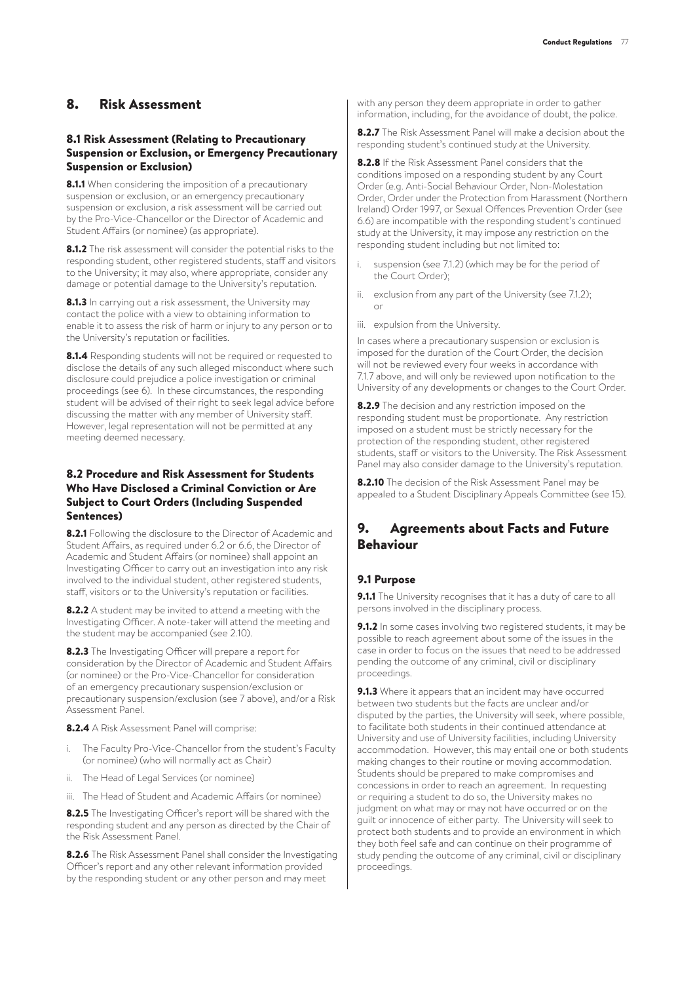## 8. Risk Assessment

#### 8.1 Risk Assessment (Relating to Precautionary Suspension or Exclusion, or Emergency Precautionary Suspension or Exclusion)

8.1.1 When considering the imposition of a precautionary suspension or exclusion, or an emergency precautionary suspension or exclusion, a risk assessment will be carried out by the Pro-Vice-Chancellor or the Director of Academic and Student Affairs (or nominee) (as appropriate).

8.1.2 The risk assessment will consider the potential risks to the responding student, other registered students, staff and visitors to the University; it may also, where appropriate, consider any damage or potential damage to the University's reputation.

8.1.3 In carrying out a risk assessment, the University may contact the police with a view to obtaining information to enable it to assess the risk of harm or injury to any person or to the University's reputation or facilities.

8.1.4 Responding students will not be required or requested to disclose the details of any such alleged misconduct where such disclosure could prejudice a police investigation or criminal proceedings (see 6). In these circumstances, the responding student will be advised of their right to seek legal advice before discussing the matter with any member of University staff. However, legal representation will not be permitted at any meeting deemed necessary.

#### 8.2 Procedure and Risk Assessment for Students Who Have Disclosed a Criminal Conviction or Are Subject to Court Orders (Including Suspended Sentences)

8.2.1 Following the disclosure to the Director of Academic and Student Affairs, as required under 6.2 or 6.6, the Director of Academic and Student Affairs (or nominee) shall appoint an Investigating Officer to carry out an investigation into any risk involved to the individual student, other registered students, staff, visitors or to the University's reputation or facilities.

8.2.2 A student may be invited to attend a meeting with the Investigating Officer. A note-taker will attend the meeting and the student may be accompanied (see 2.10).

8.2.3 The Investigating Officer will prepare a report for consideration by the Director of Academic and Student Affairs (or nominee) or the Pro-Vice-Chancellor for consideration of an emergency precautionary suspension/exclusion or precautionary suspension/exclusion (see 7 above), and/or a Risk Assessment Panel.

8.2.4 A Risk Assessment Panel will comprise:

- i. The Faculty Pro-Vice-Chancellor from the student's Faculty (or nominee) (who will normally act as Chair)
- ii. The Head of Legal Services (or nominee)
- iii. The Head of Student and Academic Affairs (or nominee)

8.2.5 The Investigating Officer's report will be shared with the responding student and any person as directed by the Chair of the Risk Assessment Panel.

8.2.6 The Risk Assessment Panel shall consider the Investigating Officer's report and any other relevant information provided by the responding student or any other person and may meet

with any person they deem appropriate in order to gather information, including, for the avoidance of doubt, the police.

8.2.7 The Risk Assessment Panel will make a decision about the responding student's continued study at the University.

8.2.8 If the Risk Assessment Panel considers that the conditions imposed on a responding student by any Court Order (e.g. Anti-Social Behaviour Order, Non-Molestation Order, Order under the Protection from Harassment (Northern Ireland) Order 1997, or Sexual Offences Prevention Order (see 6.6) are incompatible with the responding student's continued study at the University, it may impose any restriction on the responding student including but not limited to:

- suspension (see 7.1.2) (which may be for the period of the Court Order);
- ii. exclusion from any part of the University (see 7.1.2); or
- iii. expulsion from the University.

In cases where a precautionary suspension or exclusion is imposed for the duration of the Court Order, the decision will not be reviewed every four weeks in accordance with 7.1.7 above, and will only be reviewed upon notification to the University of any developments or changes to the Court Order.

8.2.9 The decision and any restriction imposed on the responding student must be proportionate. Any restriction imposed on a student must be strictly necessary for the protection of the responding student, other registered students, staff or visitors to the University. The Risk Assessment Panel may also consider damage to the University's reputation.

8.2.10 The decision of the Risk Assessment Panel may be appealed to a Student Disciplinary Appeals Committee (see 15).

## 9. Agreements about Facts and Future Behaviour

#### 9.1 Purpose

9.1.1 The University recognises that it has a duty of care to all persons involved in the disciplinary process.

9.1.2 In some cases involving two registered students, it may be possible to reach agreement about some of the issues in the case in order to focus on the issues that need to be addressed pending the outcome of any criminal, civil or disciplinary proceedings.

9.1.3 Where it appears that an incident may have occurred between two students but the facts are unclear and/or disputed by the parties, the University will seek, where possible, to facilitate both students in their continued attendance at University and use of University facilities, including University accommodation. However, this may entail one or both students making changes to their routine or moving accommodation. Students should be prepared to make compromises and concessions in order to reach an agreement. In requesting or requiring a student to do so, the University makes no judgment on what may or may not have occurred or on the guilt or innocence of either party. The University will seek to protect both students and to provide an environment in which they both feel safe and can continue on their programme of study pending the outcome of any criminal, civil or disciplinary proceedings.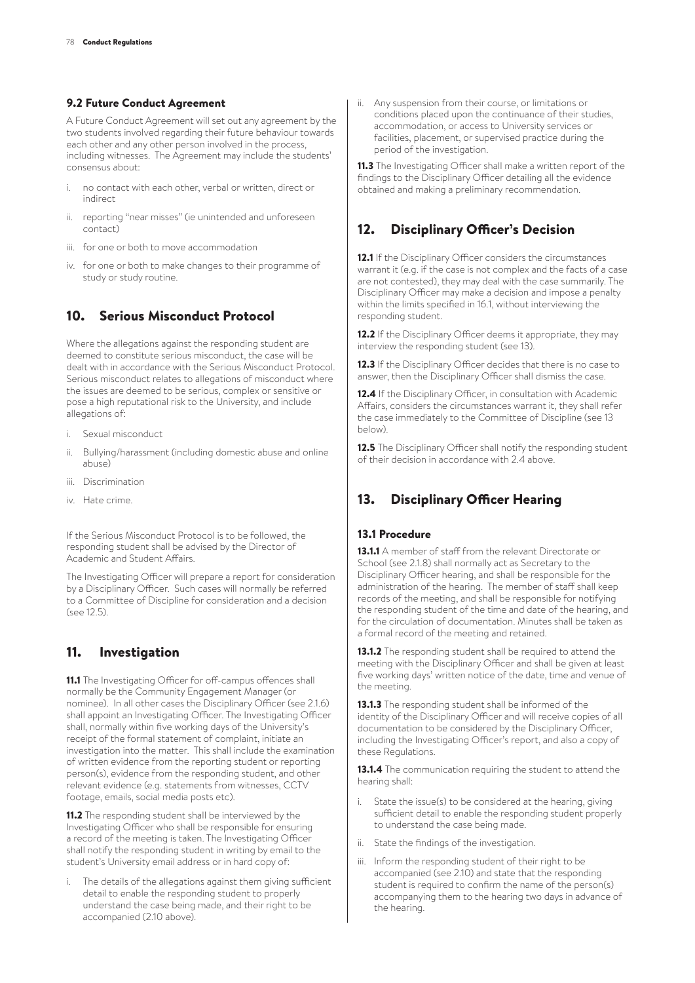#### 9.2 Future Conduct Agreement

A Future Conduct Agreement will set out any agreement by the two students involved regarding their future behaviour towards each other and any other person involved in the process, including witnesses. The Agreement may include the students' consensus about:

- i. no contact with each other, verbal or written, direct or indirect
- ii. reporting "near misses" (ie unintended and unforeseen contact)
- iii. for one or both to move accommodation
- iv. for one or both to make changes to their programme of study or study routine.

# 10. Serious Misconduct Protocol

Where the allegations against the responding student are deemed to constitute serious misconduct, the case will be dealt with in accordance with the Serious Misconduct Protocol. Serious misconduct relates to allegations of misconduct where the issues are deemed to be serious, complex or sensitive or pose a high reputational risk to the University, and include allegations of:

- i. Sexual misconduct
- ii. Bullying/harassment (including domestic abuse and online abuse)
- iii. Discrimination
- iv. Hate crime.

If the Serious Misconduct Protocol is to be followed, the responding student shall be advised by the Director of Academic and Student Affairs.

The Investigating Officer will prepare a report for consideration by a Disciplinary Officer. Such cases will normally be referred to a Committee of Discipline for consideration and a decision  $(s_{\rho\alpha} 12.5)$ 

# 11. Investigation

11.1 The Investigating Officer for off-campus offences shall normally be the Community Engagement Manager (or nominee). In all other cases the Disciplinary Officer (see 2.1.6) shall appoint an Investigating Officer. The Investigating Officer shall, normally within five working days of the University's receipt of the formal statement of complaint, initiate an investigation into the matter. This shall include the examination of written evidence from the reporting student or reporting person(s), evidence from the responding student, and other relevant evidence (e.g. statements from witnesses, CCTV footage, emails, social media posts etc).

11.2 The responding student shall be interviewed by the Investigating Officer who shall be responsible for ensuring a record of the meeting is taken. The Investigating Officer shall notify the responding student in writing by email to the student's University email address or in hard copy of:

i. The details of the allegations against them giving sufficient detail to enable the responding student to properly understand the case being made, and their right to be accompanied (2.10 above).

ii. Any suspension from their course, or limitations or conditions placed upon the continuance of their studies, accommodation, or access to University services or facilities, placement, or supervised practice during the period of the investigation.

11.3 The Investigating Officer shall make a written report of the findings to the Disciplinary Officer detailing all the evidence obtained and making a preliminary recommendation.

# 12. Disciplinary Officer's Decision

12.1 If the Disciplinary Officer considers the circumstances warrant it (e.g. if the case is not complex and the facts of a case are not contested), they may deal with the case summarily. The Disciplinary Officer may make a decision and impose a penalty within the limits specified in 16.1, without interviewing the responding student.

12.2 If the Disciplinary Officer deems it appropriate, they may interview the responding student (see 13).

12.3 If the Disciplinary Officer decides that there is no case to answer, then the Disciplinary Officer shall dismiss the case.

12.4 If the Disciplinary Officer, in consultation with Academic Affairs, considers the circumstances warrant it, they shall refer the case immediately to the Committee of Discipline (see 13 below).

12.5 The Disciplinary Officer shall notify the responding student of their decision in accordance with 2.4 above.

# 13. Disciplinary Officer Hearing

#### 13.1 Procedure

13.1.1 A member of staff from the relevant Directorate or School (see 2.1.8) shall normally act as Secretary to the Disciplinary Officer hearing, and shall be responsible for the administration of the hearing. The member of staff shall keep records of the meeting, and shall be responsible for notifying the responding student of the time and date of the hearing, and for the circulation of documentation. Minutes shall be taken as a formal record of the meeting and retained.

13.1.2 The responding student shall be required to attend the meeting with the Disciplinary Officer and shall be given at least five working days' written notice of the date, time and venue of the meeting.

13.1.3 The responding student shall be informed of the identity of the Disciplinary Officer and will receive copies of all documentation to be considered by the Disciplinary Officer, including the Investigating Officer's report, and also a copy of these Requilations.

13.1.4 The communication requiring the student to attend the hearing shall:

- State the issue(s) to be considered at the hearing, giving sufficient detail to enable the responding student properly to understand the case being made.
- ii. State the findings of the investigation.
- iii. Inform the responding student of their right to be accompanied (see 2.10) and state that the responding student is required to confirm the name of the person(s) accompanying them to the hearing two days in advance of the hearing.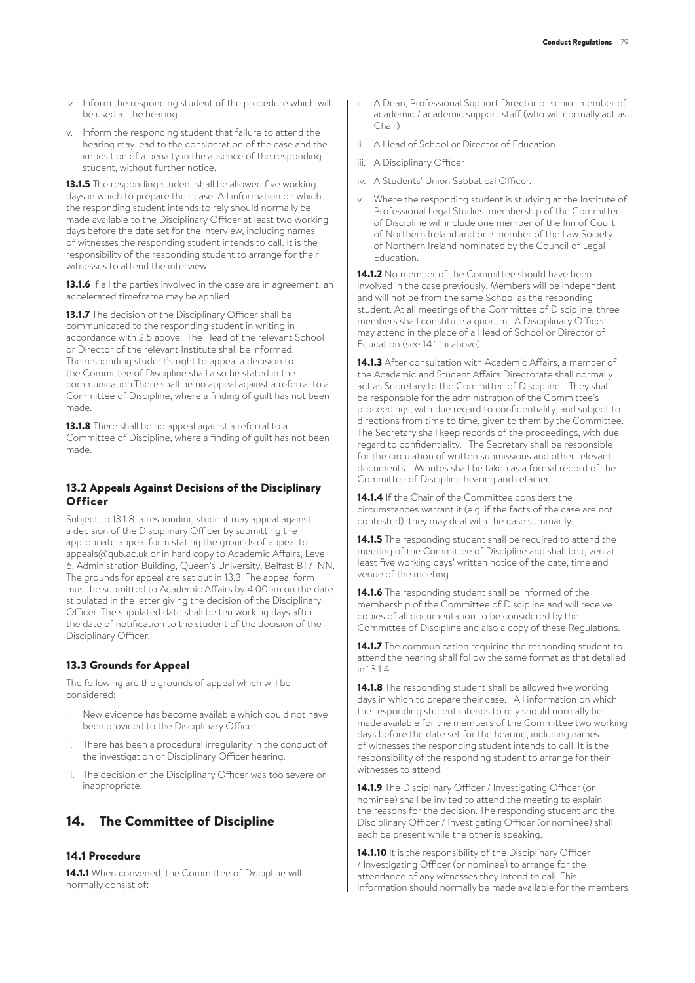- iv. Inform the responding student of the procedure which will be used at the hearing.
- v. Inform the responding student that failure to attend the hearing may lead to the consideration of the case and the imposition of a penalty in the absence of the responding student, without further notice.

13.1.5 The responding student shall be allowed five working days in which to prepare their case. All information on which the responding student intends to rely should normally be made available to the Disciplinary Officer at least two working days before the date set for the interview, including names of witnesses the responding student intends to call. It is the responsibility of the responding student to arrange for their witnesses to attend the interview.

13.1.6 If all the parties involved in the case are in agreement, an accelerated timeframe may be applied.

13.1.7 The decision of the Disciplinary Officer shall be communicated to the responding student in writing in accordance with 2.5 above. The Head of the relevant School or Director of the relevant Institute shall be informed. The responding student's right to appeal a decision to the Committee of Discipline shall also be stated in the communication.There shall be no appeal against a referral to a Committee of Discipline, where a finding of guilt has not been made.

13.1.8 There shall be no appeal against a referral to a Committee of Discipline, where a finding of guilt has not been made.

#### 13.2 Appeals Against Decisions of the Disciplinary **Officer**

Subject to 13.1.8, a responding student may appeal against a decision of the Disciplinary Officer by submitting the appropriate appeal form stating the grounds of appeal to appeals@qub.ac.uk or in hard copy to Academic Affairs, Level 6, Administration Building, Queen's University, Belfast BT7 INN. The grounds for appeal are set out in 13.3. The appeal form must be submitted to Academic Affairs by 4.00pm on the date stipulated in the letter giving the decision of the Disciplinary Officer. The stipulated date shall be ten working days after the date of notification to the student of the decision of the Disciplinary Officer.

### 13.3 Grounds for Appeal

The following are the grounds of appeal which will be considered:

- i. New evidence has become available which could not have been provided to the Disciplinary Officer.
- ii. There has been a procedural irregularity in the conduct of the investigation or Disciplinary Officer hearing.
- iii. The decision of the Disciplinary Officer was too severe or inappropriate.

## 14. The Committee of Discipline

## 14.1 Procedure

14.1.1 When convened, the Committee of Discipline will normally consist of:

- i. A Dean, Professional Support Director or senior member of academic / academic support staff (who will normally act as Chair)
- ii. A Head of School or Director of Education
- iii. A Disciplinary Officer
- iv. A Students' Union Sabbatical Officer.
- v. Where the responding student is studying at the Institute of Professional Legal Studies, membership of the Committee of Discipline will include one member of the Inn of Court of Northern Ireland and one member of the Law Society of Northern Ireland nominated by the Council of Legal Education.

14.1.2 No member of the Committee should have been involved in the case previously. Members will be independent and will not be from the same School as the responding student. At all meetings of the Committee of Discipline, three members shall constitute a quorum. A Disciplinary Officer may attend in the place of a Head of School or Director of Education (see 14.1.1 ii above).

14.1.3 After consultation with Academic Affairs, a member of the Academic and Student Affairs Directorate shall normally act as Secretary to the Committee of Discipline. They shall be responsible for the administration of the Committee's proceedings, with due regard to confidentiality, and subject to directions from time to time, given to them by the Committee. The Secretary shall keep records of the proceedings, with due regard to confidentiality. The Secretary shall be responsible for the circulation of written submissions and other relevant documents. Minutes shall be taken as a formal record of the Committee of Discipline hearing and retained.

14.1.4 If the Chair of the Committee considers the circumstances warrant it (e.g. if the facts of the case are not contested), they may deal with the case summarily.

14.1.5 The responding student shall be required to attend the meeting of the Committee of Discipline and shall be given at least five working days' written notice of the date, time and venue of the meeting.

14.1.6 The responding student shall be informed of the membership of the Committee of Discipline and will receive copies of all documentation to be considered by the Committee of Discipline and also a copy of these Regulations.

14.1.7 The communication requiring the responding student to attend the hearing shall follow the same format as that detailed in 13.1.4.

14.1.8 The responding student shall be allowed five working days in which to prepare their case. All information on which the responding student intends to rely should normally be made available for the members of the Committee two working days before the date set for the hearing, including names of witnesses the responding student intends to call. It is the responsibility of the responding student to arrange for their witnesses to attend.

14.1.9 The Disciplinary Officer / Investigating Officer (or nominee) shall be invited to attend the meeting to explain the reasons for the decision. The responding student and the Disciplinary Officer / Investigating Officer (or nominee) shall each be present while the other is speaking.

14.1.10 It is the responsibility of the Disciplinary Officer / Investigating Officer (or nominee) to arrange for the attendance of any witnesses they intend to call. This information should normally be made available for the members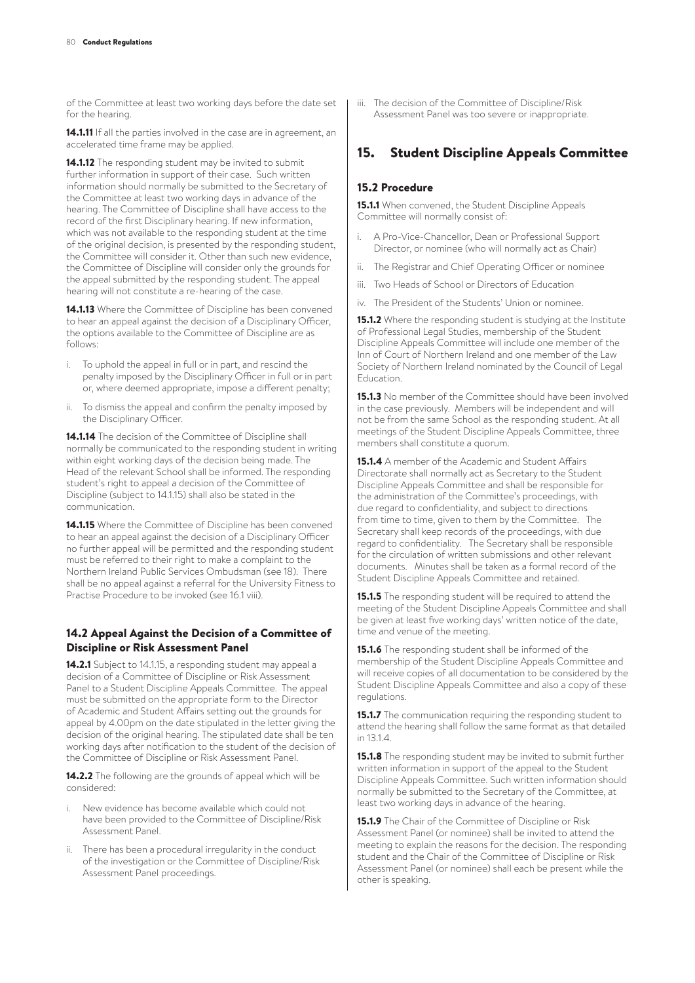of the Committee at least two working days before the date set for the hearing.

14.1.11 If all the parties involved in the case are in agreement, an accelerated time frame may be applied.

14.1.12 The responding student may be invited to submit further information in support of their case. Such written information should normally be submitted to the Secretary of the Committee at least two working days in advance of the hearing. The Committee of Discipline shall have access to the record of the first Disciplinary hearing. If new information, which was not available to the responding student at the time of the original decision, is presented by the responding student, the Committee will consider it. Other than such new evidence, the Committee of Discipline will consider only the grounds for the appeal submitted by the responding student. The appeal hearing will not constitute a re-hearing of the case.

14.1.13 Where the Committee of Discipline has been convened to hear an appeal against the decision of a Disciplinary Officer, the options available to the Committee of Discipline are as follows:

- i. To uphold the appeal in full or in part, and rescind the penalty imposed by the Disciplinary Officer in full or in part or, where deemed appropriate, impose a different penalty;
- ii. To dismiss the appeal and confirm the penalty imposed by the Disciplinary Officer.

14.1.14 The decision of the Committee of Discipline shall normally be communicated to the responding student in writing within eight working days of the decision being made. The Head of the relevant School shall be informed. The responding student's right to appeal a decision of the Committee of Discipline (subject to 14.1.15) shall also be stated in the communication.

14.1.15 Where the Committee of Discipline has been convened to hear an appeal against the decision of a Disciplinary Officer no further appeal will be permitted and the responding student must be referred to their right to make a complaint to the Northern Ireland Public Services Ombudsman (see 18). There shall be no appeal against a referral for the University Fitness to Practise Procedure to be invoked (see 16.1 viii).

#### 14.2 Appeal Against the Decision of a Committee of Discipline or Risk Assessment Panel

14.2.1 Subject to 14.1.15, a responding student may appeal a decision of a Committee of Discipline or Risk Assessment Panel to a Student Discipline Appeals Committee. The appeal must be submitted on the appropriate form to the Director of Academic and Student Affairs setting out the grounds for appeal by 4.00pm on the date stipulated in the letter giving the decision of the original hearing. The stipulated date shall be ten working days after notification to the student of the decision of the Committee of Discipline or Risk Assessment Panel.

14.2.2 The following are the grounds of appeal which will be considered:

- i. New evidence has become available which could not have been provided to the Committee of Discipline/Risk Assessment Panel.
- ii. There has been a procedural irregularity in the conduct of the investigation or the Committee of Discipline/Risk Assessment Panel proceedings.

iii. The decision of the Committee of Discipline/Risk Assessment Panel was too severe or inappropriate.

# 15. Student Discipline Appeals Committee

### 15.2 Procedure

15.1.1 When convened, the Student Discipline Appeals Committee will normally consist of:

- i. A Pro-Vice-Chancellor, Dean or Professional Support Director, or nominee (who will normally act as Chair)
- ii. The Registrar and Chief Operating Officer or nominee
- iii. Two Heads of School or Directors of Education
- iv. The President of the Students' Union or nominee.

15.1.2 Where the responding student is studying at the Institute of Professional Legal Studies, membership of the Student Discipline Appeals Committee will include one member of the Inn of Court of Northern Ireland and one member of the Law Society of Northern Ireland nominated by the Council of Legal Education.

**15.1.3** No member of the Committee should have been involved in the case previously. Members will be independent and will not be from the same School as the responding student. At all meetings of the Student Discipline Appeals Committee, three members shall constitute a quorum.

15.1.4 A member of the Academic and Student Affairs Directorate shall normally act as Secretary to the Student Discipline Appeals Committee and shall be responsible for the administration of the Committee's proceedings, with due regard to confidentiality, and subject to directions from time to time, given to them by the Committee. The Secretary shall keep records of the proceedings, with due regard to confidentiality. The Secretary shall be responsible for the circulation of written submissions and other relevant documents. Minutes shall be taken as a formal record of the Student Discipline Appeals Committee and retained.

**15.1.5** The responding student will be required to attend the meeting of the Student Discipline Appeals Committee and shall be given at least five working days' written notice of the date, time and venue of the meeting.

15.1.6 The responding student shall be informed of the membership of the Student Discipline Appeals Committee and will receive copies of all documentation to be considered by the Student Discipline Appeals Committee and also a copy of these regulations.

15.1.7 The communication requiring the responding student to attend the hearing shall follow the same format as that detailed in 13.1.4.

**15.1.8** The responding student may be invited to submit further written information in support of the appeal to the Student Discipline Appeals Committee. Such written information should normally be submitted to the Secretary of the Committee, at least two working days in advance of the hearing.

15.1.9 The Chair of the Committee of Discipline or Risk Assessment Panel (or nominee) shall be invited to attend the meeting to explain the reasons for the decision. The responding student and the Chair of the Committee of Discipline or Risk Assessment Panel (or nominee) shall each be present while the other is speaking.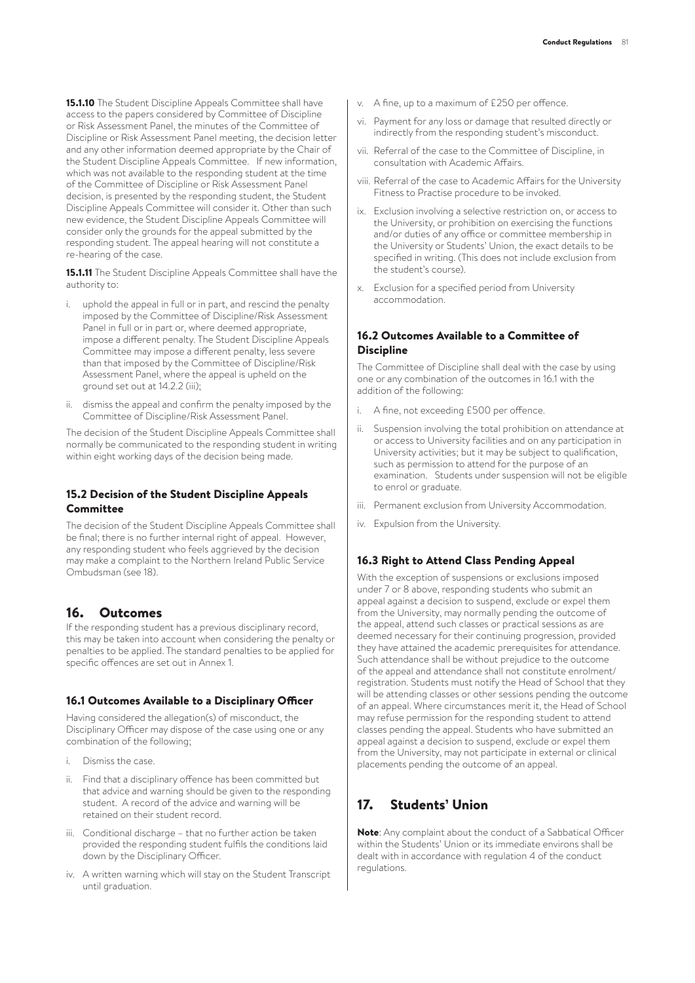**15.1.10** The Student Discipline Appeals Committee shall have access to the papers considered by Committee of Discipline or Risk Assessment Panel, the minutes of the Committee of Discipline or Risk Assessment Panel meeting, the decision letter and any other information deemed appropriate by the Chair of the Student Discipline Appeals Committee. If new information, which was not available to the responding student at the time of the Committee of Discipline or Risk Assessment Panel decision, is presented by the responding student, the Student Discipline Appeals Committee will consider it. Other than such new evidence, the Student Discipline Appeals Committee will consider only the grounds for the appeal submitted by the responding student. The appeal hearing will not constitute a re-hearing of the case.

15.1.11 The Student Discipline Appeals Committee shall have the authority to:

- i. uphold the appeal in full or in part, and rescind the penalty imposed by the Committee of Discipline/Risk Assessment Panel in full or in part or, where deemed appropriate, impose a different penalty. The Student Discipline Appeals Committee may impose a different penalty, less severe than that imposed by the Committee of Discipline/Risk Assessment Panel, where the appeal is upheld on the ground set out at 14.2.2 (iii);
- ii. dismiss the appeal and confirm the penalty imposed by the Committee of Discipline/Risk Assessment Panel.

The decision of the Student Discipline Appeals Committee shall normally be communicated to the responding student in writing within eight working days of the decision being made.

#### 15.2 Decision of the Student Discipline Appeals Committee

The decision of the Student Discipline Appeals Committee shall be final; there is no further internal right of appeal. However, any responding student who feels aggrieved by the decision may make a complaint to the Northern Ireland Public Service Ombudsman (see 18).

## 16. Outcomes

If the responding student has a previous disciplinary record, this may be taken into account when considering the penalty or penalties to be applied. The standard penalties to be applied for specific offences are set out in Annex 1.

#### 16.1 Outcomes Available to a Disciplinary Officer

Having considered the allegation(s) of misconduct, the Disciplinary Officer may dispose of the case using one or any combination of the following;

- i Dismiss the case.
- ii. Find that a disciplinary offence has been committed but that advice and warning should be given to the responding student. A record of the advice and warning will be retained on their student record.
- iii. Conditional discharge that no further action be taken provided the responding student fulfils the conditions laid down by the Disciplinary Officer.
- iv. A written warning which will stay on the Student Transcript until graduation.
- v. A fine, up to a maximum of £250 per offence.
- vi. Payment for any loss or damage that resulted directly or indirectly from the responding student's misconduct.
- vii. Referral of the case to the Committee of Discipline, in consultation with Academic Affairs.
- viii. Referral of the case to Academic Affairs for the University Fitness to Practise procedure to be invoked.
- ix. Exclusion involving a selective restriction on, or access to the University, or prohibition on exercising the functions and/or duties of any office or committee membership in the University or Students' Union, the exact details to be specified in writing. (This does not include exclusion from the student's course).
- x. Exclusion for a specified period from University accommodation.

#### 16.2 Outcomes Available to a Committee of **Discipline**

The Committee of Discipline shall deal with the case by using one or any combination of the outcomes in 16.1 with the addition of the following:

- A fine, not exceeding £500 per offence.
- ii. Suspension involving the total prohibition on attendance at or access to University facilities and on any participation in University activities; but it may be subject to qualification, such as permission to attend for the purpose of an examination. Students under suspension will not be eligible to enrol or graduate.
- iii. Permanent exclusion from University Accommodation.
- iv. Expulsion from the University.

#### 16.3 Right to Attend Class Pending Appeal

With the exception of suspensions or exclusions imposed under 7 or 8 above, responding students who submit an appeal against a decision to suspend, exclude or expel them from the University, may normally pending the outcome of the appeal, attend such classes or practical sessions as are deemed necessary for their continuing progression, provided they have attained the academic prerequisites for attendance. Such attendance shall be without prejudice to the outcome of the appeal and attendance shall not constitute enrolment/ registration. Students must notify the Head of School that they will be attending classes or other sessions pending the outcome of an appeal. Where circumstances merit it, the Head of School may refuse permission for the responding student to attend classes pending the appeal. Students who have submitted an appeal against a decision to suspend, exclude or expel them from the University, may not participate in external or clinical placements pending the outcome of an appeal.

## 17. Students' Union

Note: Any complaint about the conduct of a Sabbatical Officer within the Students' Union or its immediate environs shall be dealt with in accordance with regulation 4 of the conduct regulations.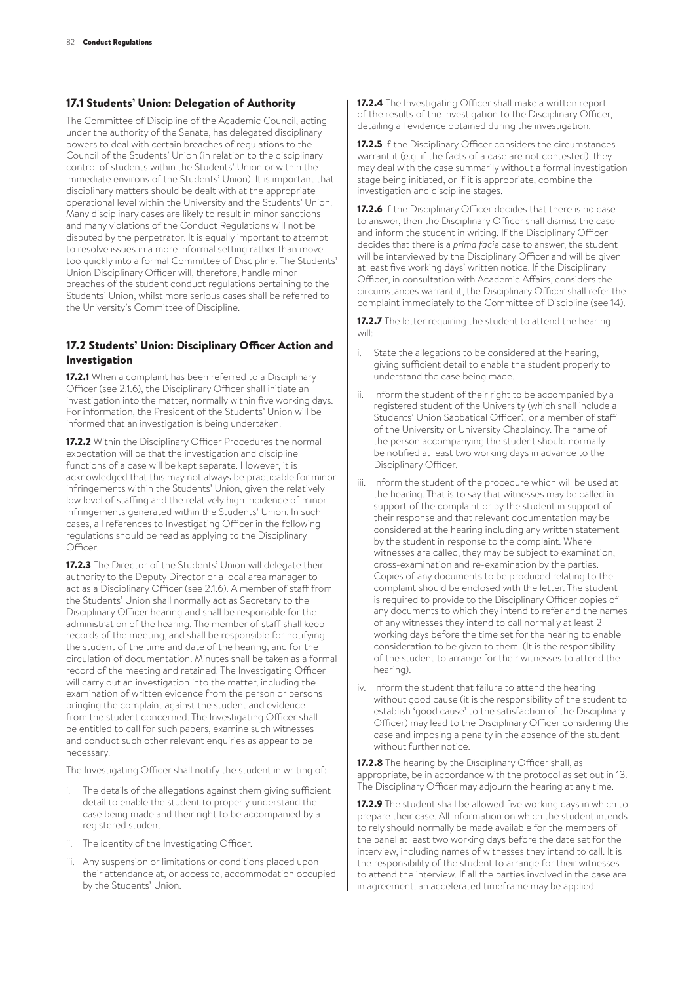#### 17.1 Students' Union: Delegation of Authority

The Committee of Discipline of the Academic Council, acting under the authority of the Senate, has delegated disciplinary powers to deal with certain breaches of regulations to the Council of the Students' Union (in relation to the disciplinary control of students within the Students' Union or within the immediate environs of the Students' Union). It is important that disciplinary matters should be dealt with at the appropriate operational level within the University and the Students' Union. Many disciplinary cases are likely to result in minor sanctions and many violations of the Conduct Regulations will not be disputed by the perpetrator. It is equally important to attempt to resolve issues in a more informal setting rather than move too quickly into a formal Committee of Discipline. The Students' Union Disciplinary Officer will, therefore, handle minor breaches of the student conduct regulations pertaining to the Students' Union, whilst more serious cases shall be referred to the University's Committee of Discipline.

### 17.2 Students' Union: Disciplinary Officer Action and Investigation

17.2.1 When a complaint has been referred to a Disciplinary Officer (see 2.1.6), the Disciplinary Officer shall initiate an investigation into the matter, normally within five working days. For information, the President of the Students' Union will be informed that an investigation is being undertaken.

17.2.2 Within the Disciplinary Officer Procedures the normal expectation will be that the investigation and discipline functions of a case will be kept separate. However, it is acknowledged that this may not always be practicable for minor infringements within the Students' Union, given the relatively low level of staffing and the relatively high incidence of minor infringements generated within the Students' Union. In such cases, all references to Investigating Officer in the following regulations should be read as applying to the Disciplinary Officer.

17.2.3 The Director of the Students' Union will delegate their authority to the Deputy Director or a local area manager to act as a Disciplinary Officer (see 2.1.6). A member of staff from the Students' Union shall normally act as Secretary to the Disciplinary Officer hearing and shall be responsible for the administration of the hearing. The member of staff shall keep records of the meeting, and shall be responsible for notifying the student of the time and date of the hearing, and for the circulation of documentation. Minutes shall be taken as a formal record of the meeting and retained. The Investigating Officer will carry out an investigation into the matter, including the examination of written evidence from the person or persons bringing the complaint against the student and evidence from the student concerned. The Investigating Officer shall be entitled to call for such papers, examine such witnesses and conduct such other relevant enquiries as appear to be necessary.

The Investigating Officer shall notify the student in writing of:

- i. The details of the allegations against them giving sufficient detail to enable the student to properly understand the case being made and their right to be accompanied by a registered student.
- ii. The identity of the Investigating Officer.
- iii. Any suspension or limitations or conditions placed upon their attendance at, or access to, accommodation occupied by the Students' Union.

17.2.4 The Investigating Officer shall make a written report of the results of the investigation to the Disciplinary Officer, detailing all evidence obtained during the investigation.

17.2.5 If the Disciplinary Officer considers the circumstances warrant it (e.g. if the facts of a case are not contested), they may deal with the case summarily without a formal investigation stage being initiated, or if it is appropriate, combine the investigation and discipline stages.

17.2.6 If the Disciplinary Officer decides that there is no case to answer, then the Disciplinary Officer shall dismiss the case and inform the student in writing. If the Disciplinary Officer decides that there is a *prima facie* case to answer, the student will be interviewed by the Disciplinary Officer and will be given at least five working days' written notice. If the Disciplinary Officer, in consultation with Academic Affairs, considers the circumstances warrant it, the Disciplinary Officer shall refer the complaint immediately to the Committee of Discipline (see 14).

17.2.7 The letter requiring the student to attend the hearing will:

- i. State the allegations to be considered at the hearing, giving sufficient detail to enable the student properly to understand the case being made.
- ii. Inform the student of their right to be accompanied by a registered student of the University (which shall include a Students' Union Sabbatical Officer), or a member of staff of the University or University Chaplaincy. The name of the person accompanying the student should normally be notified at least two working days in advance to the Disciplinary Officer.
- iii. Inform the student of the procedure which will be used at the hearing. That is to say that witnesses may be called in support of the complaint or by the student in support of their response and that relevant documentation may be considered at the hearing including any written statement by the student in response to the complaint. Where witnesses are called, they may be subject to examination, cross-examination and re-examination by the parties. Copies of any documents to be produced relating to the complaint should be enclosed with the letter. The student is required to provide to the Disciplinary Officer copies of any documents to which they intend to refer and the names of any witnesses they intend to call normally at least 2 working days before the time set for the hearing to enable consideration to be given to them. (It is the responsibility of the student to arrange for their witnesses to attend the hearing).
- iv. Inform the student that failure to attend the hearing without good cause (it is the responsibility of the student to establish 'good cause' to the satisfaction of the Disciplinary Officer) may lead to the Disciplinary Officer considering the case and imposing a penalty in the absence of the student without further notice.

17.2.8 The hearing by the Disciplinary Officer shall, as appropriate, be in accordance with the protocol as set out in 13. The Disciplinary Officer may adjourn the hearing at any time.

17.2.9 The student shall be allowed five working days in which to prepare their case. All information on which the student intends to rely should normally be made available for the members of the panel at least two working days before the date set for the interview, including names of witnesses they intend to call. It is the responsibility of the student to arrange for their witnesses to attend the interview. If all the parties involved in the case are in agreement, an accelerated timeframe may be applied.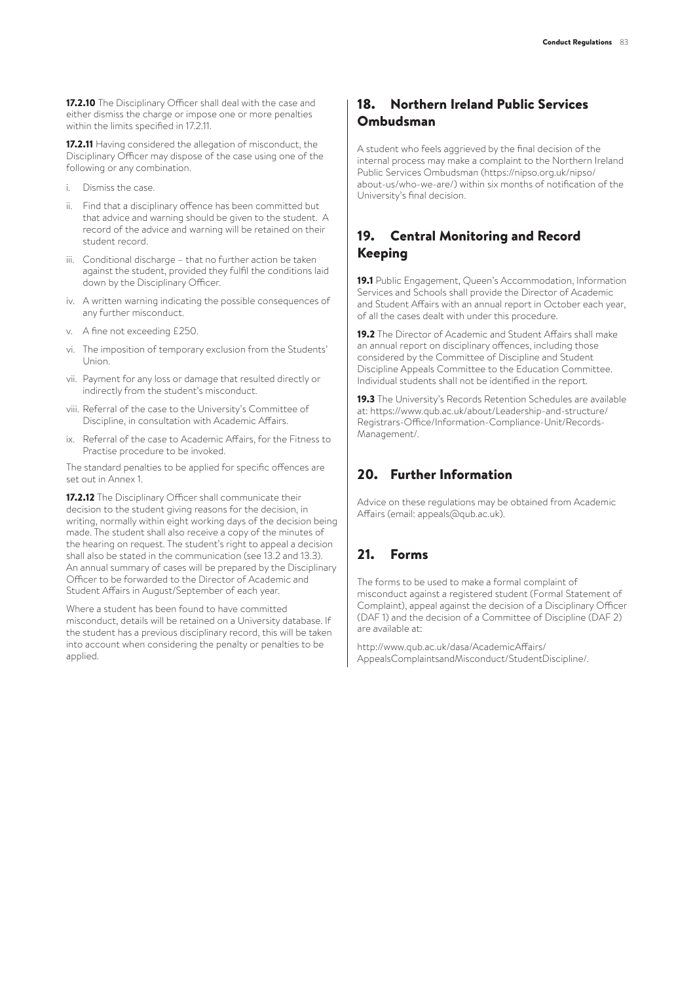17.2.10 The Disciplinary Officer shall deal with the case and either dismiss the charge or impose one or more penalties within the limits specified in 17.2.11.

17.2.11 Having considered the allegation of misconduct, the Disciplinary Officer may dispose of the case using one of the following or any combination.

- i. Dismiss the case.
- ii. Find that a disciplinary offence has been committed but that advice and warning should be given to the student. A record of the advice and warning will be retained on their student record.
- iii. Conditional discharge that no further action be taken against the student, provided they fulfil the conditions laid down by the Disciplinary Officer.
- iv. A written warning indicating the possible consequences of any further misconduct.
- v. A fine not exceeding £250.
- vi. The imposition of temporary exclusion from the Students' Union.
- vii. Payment for any loss or damage that resulted directly or indirectly from the student's misconduct.
- viii. Referral of the case to the University's Committee of Discipline, in consultation with Academic Affairs.
- ix. Referral of the case to Academic Affairs, for the Fitness to Practise procedure to be invoked.

The standard penalties to be applied for specific offences are set out in Annex 1.

17.2.12 The Disciplinary Officer shall communicate their decision to the student giving reasons for the decision, in writing, normally within eight working days of the decision being made. The student shall also receive a copy of the minutes of the hearing on request. The student's right to appeal a decision shall also be stated in the communication (see 13.2 and 13.3). An annual summary of cases will be prepared by the Disciplinary Officer to be forwarded to the Director of Academic and Student Affairs in August/September of each year.

Where a student has been found to have committed misconduct, details will be retained on a University database. If the student has a previous disciplinary record, this will be taken into account when considering the penalty or penalties to be applied.

## 18. Northern Ireland Public Services Ombudsman

A student who feels aggrieved by the final decision of the internal process may make a complaint to the Northern Ireland Public Services Ombudsman (https://nipso.org.uk/nipso/ about-us/who-we-are/) within six months of notification of the University's final decision.

# 19. Central Monitoring and Record Keeping

19.1 Public Engagement, Queen's Accommodation, Information Services and Schools shall provide the Director of Academic and Student Affairs with an annual report in October each year, of all the cases dealt with under this procedure.

19.2 The Director of Academic and Student Affairs shall make an annual report on disciplinary offences, including those considered by the Committee of Discipline and Student Discipline Appeals Committee to the Education Committee. Individual students shall not be identified in the report.

19.3 The University's Records Retention Schedules are available at: https://www.qub.ac.uk/about/Leadership-and-structure/ Registrars-Office/Information-Compliance-Unit/Records-Management/.

## 20. Further Information

Advice on these regulations may be obtained from Academic Affairs (email: appeals@qub.ac.uk).

## 21. Forms

The forms to be used to make a formal complaint of misconduct against a registered student (Formal Statement of Complaint), appeal against the decision of a Disciplinary Officer (DAF 1) and the decision of a Committee of Discipline (DAF 2) are available at:

http://www.qub.ac.uk/dasa/AcademicAffairs/ AppealsComplaintsandMisconduct/StudentDiscipline/.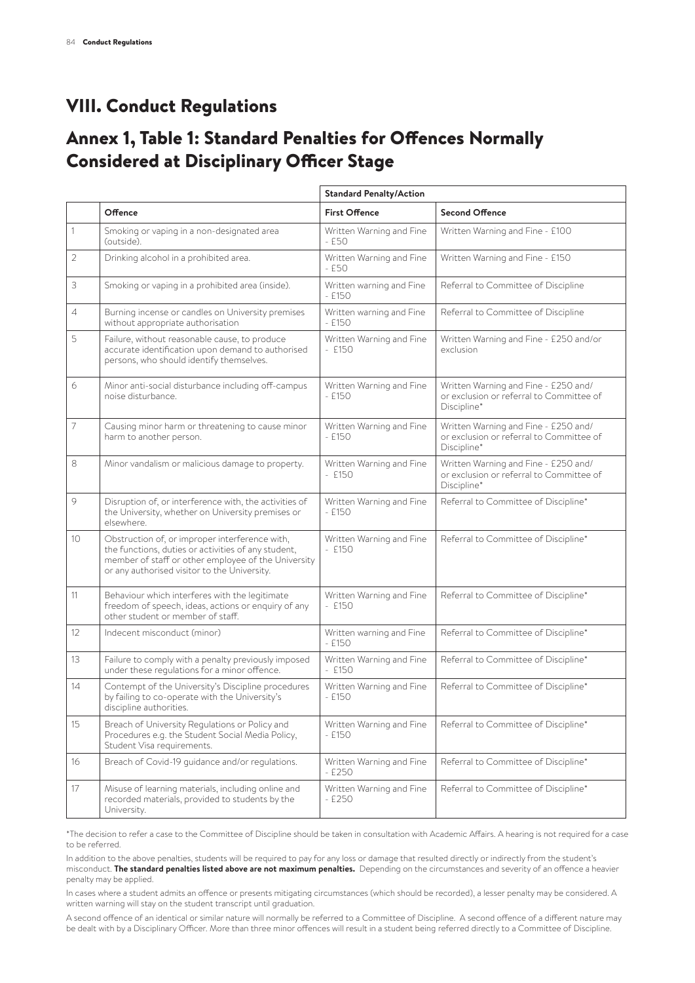# VIII. Conduct Regulations

# Annex 1, Table 1: Standard Penalties for Offences Normally Considered at Disciplinary Officer Stage

|              |                                                                                                                                                                                                              | <b>Standard Penalty/Action</b>       |                                                                                                 |
|--------------|--------------------------------------------------------------------------------------------------------------------------------------------------------------------------------------------------------------|--------------------------------------|-------------------------------------------------------------------------------------------------|
|              | Offence                                                                                                                                                                                                      | <b>First Offence</b>                 | <b>Second Offence</b>                                                                           |
| 1            | Smoking or vaping in a non-designated area<br>(outside).                                                                                                                                                     | Written Warning and Fine<br>- £50    | Written Warning and Fine - £100                                                                 |
| $\mathbf{2}$ | Drinking alcohol in a prohibited area.                                                                                                                                                                       | Written Warning and Fine<br>- £50    | Written Warning and Fine - £150                                                                 |
| 3            | Smoking or vaping in a prohibited area (inside).                                                                                                                                                             | Written warning and Fine<br>$-$ £150 | Referral to Committee of Discipline                                                             |
| 4            | Burning incense or candles on University premises<br>without appropriate authorisation                                                                                                                       | Written warning and Fine<br>$-$ £150 | Referral to Committee of Discipline                                                             |
| 5            | Failure, without reasonable cause, to produce<br>accurate identification upon demand to authorised<br>persons, who should identify themselves.                                                               | Written Warning and Fine<br>$-$ £150 | Written Warning and Fine - £250 and/or<br>exclusion                                             |
| 6            | Minor anti-social disturbance including off-campus<br>noise disturbance.                                                                                                                                     | Written Warning and Fine<br>- £150   | Written Warning and Fine - £250 and/<br>or exclusion or referral to Committee of<br>Discipline* |
| 7            | Causing minor harm or threatening to cause minor<br>harm to another person.                                                                                                                                  | Written Warning and Fine<br>$-$ £150 | Written Warning and Fine - £250 and/<br>or exclusion or referral to Committee of<br>Discipline* |
| 8            | Minor vandalism or malicious damage to property.                                                                                                                                                             | Written Warning and Fine<br>$-$ £150 | Written Warning and Fine - £250 and/<br>or exclusion or referral to Committee of<br>Discipline* |
| 9            | Disruption of, or interference with, the activities of<br>the University, whether on University premises or<br>elsewhere.                                                                                    | Written Warning and Fine<br>$-F150$  | Referral to Committee of Discipline*                                                            |
| 10           | Obstruction of, or improper interference with,<br>the functions, duties or activities of any student,<br>member of staff or other employee of the University<br>or any authorised visitor to the University. | Written Warning and Fine<br>$-$ £150 | Referral to Committee of Discipline*                                                            |
| 11           | Behaviour which interferes with the legitimate<br>freedom of speech, ideas, actions or enquiry of any<br>other student or member of staff.                                                                   | Written Warning and Fine<br>$-$ £150 | Referral to Committee of Discipline*                                                            |
| 12           | Indecent misconduct (minor)                                                                                                                                                                                  | Written warning and Fine<br>$-$ £150 | Referral to Committee of Discipline*                                                            |
| 13           | Failure to comply with a penalty previously imposed<br>under these regulations for a minor offence.                                                                                                          | Written Warning and Fine<br>$-$ £150 | Referral to Committee of Discipline*                                                            |
| 14           | Contempt of the University's Discipline procedures<br>by failing to co-operate with the University's<br>discipline authorities.                                                                              | Written Warning and Fine<br>$-$ £150 | Referral to Committee of Discipline*                                                            |
| 15           | Breach of University Regulations or Policy and<br>Procedures e.g. the Student Social Media Policy,<br>Student Visa requirements.                                                                             | Written Warning and Fine<br>$-$ £150 | Referral to Committee of Discipline*                                                            |
| 16           | Breach of Covid-19 guidance and/or regulations.                                                                                                                                                              | Written Warning and Fine<br>$-$ £250 | Referral to Committee of Discipline*                                                            |
| 17           | Misuse of learning materials, including online and<br>recorded materials, provided to students by the<br>University.                                                                                         | Written Warning and Fine<br>$-$ £250 | Referral to Committee of Discipline*                                                            |

\*The decision to refer a case to the Committee of Discipline should be taken in consultation with Academic Affairs. A hearing is not required for a case to be referred.

In addition to the above penalties, students will be required to pay for any loss or damage that resulted directly or indirectly from the student's misconduct. **The standard penalties listed above are not maximum penalties.** Depending on the circumstances and severity of an offence a heavier penalty may be applied.

In cases where a student admits an offence or presents mitigating circumstances (which should be recorded), a lesser penalty may be considered. A written warning will stay on the student transcript until graduation.

A second offence of an identical or similar nature will normally be referred to a Committee of Discipline. A second offence of a different nature may be dealt with by a Disciplinary Officer. More than three minor offences will result in a student being referred directly to a Committee of Discipline.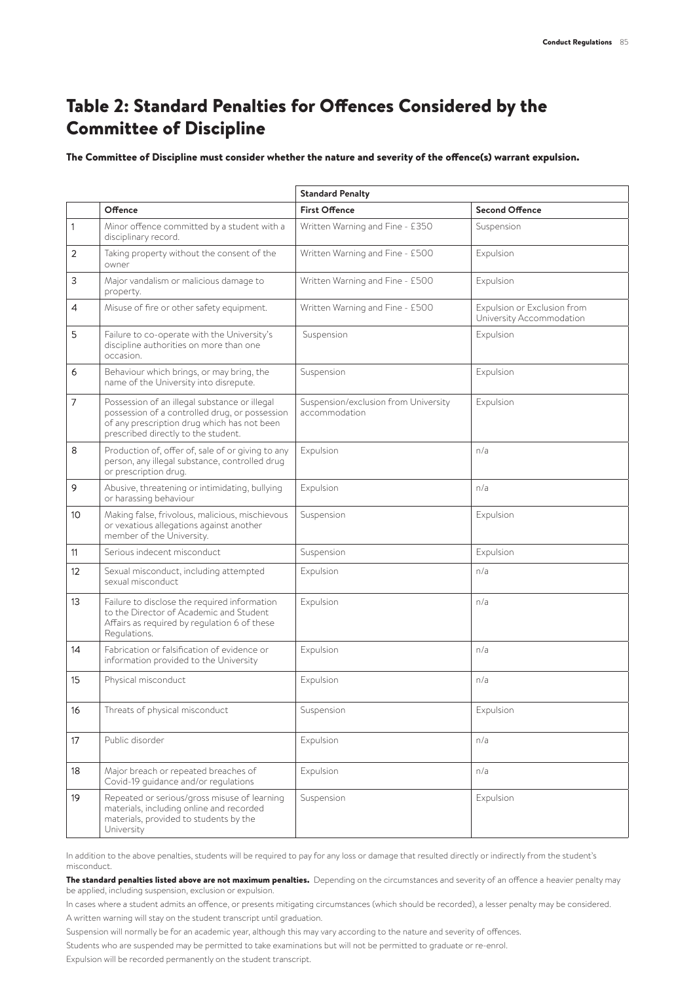# Table 2: Standard Penalties for Offences Considered by the Committee of Discipline

The Committee of Discipline must consider whether the nature and severity of the offence(s) warrant expulsion.

|    |                                                                                                                                                                                       | <b>Standard Penalty</b>                               |                                                         |
|----|---------------------------------------------------------------------------------------------------------------------------------------------------------------------------------------|-------------------------------------------------------|---------------------------------------------------------|
|    | Offence                                                                                                                                                                               | <b>First Offence</b>                                  | <b>Second Offence</b>                                   |
| 1  | Minor offence committed by a student with a<br>disciplinary record.                                                                                                                   | Written Warning and Fine - £350                       | Suspension                                              |
| 2  | Taking property without the consent of the<br>owner                                                                                                                                   | Written Warning and Fine - £500                       | Expulsion                                               |
| 3  | Major vandalism or malicious damage to<br>property.                                                                                                                                   | Written Warning and Fine - £500                       | Expulsion                                               |
| 4  | Misuse of fire or other safety equipment.                                                                                                                                             | Written Warning and Fine - £500                       | Expulsion or Exclusion from<br>University Accommodation |
| 5  | Failure to co-operate with the University's<br>discipline authorities on more than one<br>occasion.                                                                                   | Suspension                                            | Expulsion                                               |
| 6  | Behaviour which brings, or may bring, the<br>name of the University into disrepute.                                                                                                   | Suspension                                            | Expulsion                                               |
| 7  | Possession of an illegal substance or illegal<br>possession of a controlled drug, or possession<br>of any prescription drug which has not been<br>prescribed directly to the student. | Suspension/exclusion from University<br>accommodation | Expulsion                                               |
| 8  | Production of, offer of, sale of or giving to any<br>person, any illegal substance, controlled drug<br>or prescription drug.                                                          | Expulsion                                             | n/a                                                     |
| 9  | Abusive, threatening or intimidating, bullying<br>or harassing behaviour                                                                                                              | Expulsion                                             | n/a                                                     |
| 10 | Making false, frivolous, malicious, mischievous<br>or vexatious allegations against another<br>member of the University.                                                              | Suspension                                            | Expulsion                                               |
| 11 | Serious indecent misconduct                                                                                                                                                           | Suspension                                            | Expulsion                                               |
| 12 | Sexual misconduct, including attempted<br>sexual misconduct                                                                                                                           | Expulsion                                             | n/a                                                     |
| 13 | Failure to disclose the required information<br>to the Director of Academic and Student<br>Affairs as required by regulation 6 of these<br>Regulations.                               | Expulsion                                             | n/a                                                     |
| 14 | Fabrication or falsification of evidence or<br>information provided to the University                                                                                                 | Expulsion                                             | n/a                                                     |
| 15 | Physical misconduct                                                                                                                                                                   | Expulsion                                             | n/a                                                     |
| 16 | Threats of physical misconduct                                                                                                                                                        | Suspension                                            | Expulsion                                               |
| 17 | Public disorder                                                                                                                                                                       | Expulsion                                             | n/a                                                     |
| 18 | Major breach or repeated breaches of<br>Covid-19 guidance and/or regulations                                                                                                          | Expulsion                                             | n/a                                                     |
| 19 | Repeated or serious/gross misuse of learning<br>materials, including online and recorded<br>materials, provided to students by the<br>University                                      | Suspension                                            | Expulsion                                               |

In addition to the above penalties, students will be required to pay for any loss or damage that resulted directly or indirectly from the student's misconduct.

The standard penalties listed above are not maximum penalties. Depending on the circumstances and severity of an offence a heavier penalty may be applied, including suspension, exclusion or expulsion.

In cases where a student admits an offence, or presents mitigating circumstances (which should be recorded), a lesser penalty may be considered. A written warning will stay on the student transcript until graduation.

Suspension will normally be for an academic year, although this may vary according to the nature and severity of offences.

Students who are suspended may be permitted to take examinations but will not be permitted to graduate or re-enrol.

Expulsion will be recorded permanently on the student transcript.